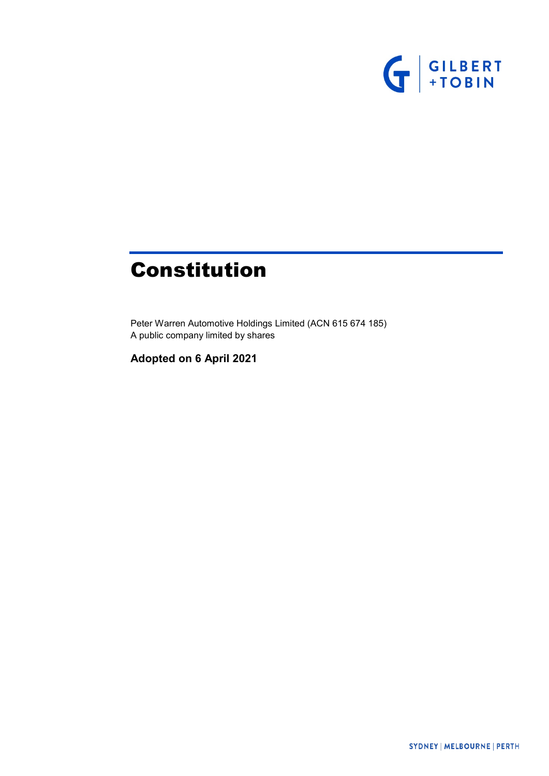

# Constitution

Peter Warren Automotive Holdings Limited (ACN 615 674 185) A public company limited by shares

**Adopted on 6 April 2021**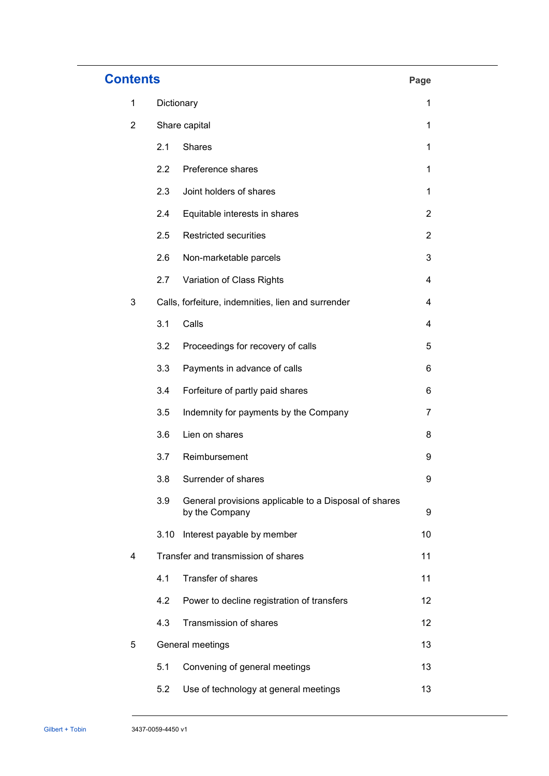| <b>Contents</b> |               |                                                                         |                |  |
|-----------------|---------------|-------------------------------------------------------------------------|----------------|--|
| $\mathbf 1$     |               | Dictionary                                                              | 1              |  |
| $\overline{2}$  | Share capital |                                                                         | 1              |  |
|                 | 2.1           | <b>Shares</b>                                                           | 1              |  |
|                 | 2.2           | Preference shares                                                       | 1              |  |
|                 | 2.3           | Joint holders of shares                                                 | 1              |  |
|                 | 2.4           | Equitable interests in shares                                           | $\overline{2}$ |  |
|                 | 2.5           | Restricted securities                                                   | $\overline{2}$ |  |
|                 | 2.6           | Non-marketable parcels                                                  | 3              |  |
|                 | 2.7           | Variation of Class Rights                                               | 4              |  |
| 3               |               | Calls, forfeiture, indemnities, lien and surrender                      | 4              |  |
|                 | 3.1           | Calls                                                                   | 4              |  |
|                 | 3.2           | Proceedings for recovery of calls                                       | 5              |  |
|                 | 3.3           | Payments in advance of calls                                            | 6              |  |
|                 | 3.4           | Forfeiture of partly paid shares                                        | 6              |  |
|                 | 3.5           | Indemnity for payments by the Company                                   | 7              |  |
|                 | 3.6           | Lien on shares                                                          | 8              |  |
|                 | 3.7           | Reimbursement                                                           | 9              |  |
|                 | 3.8           | Surrender of shares                                                     | 9              |  |
|                 | 3.9           | General provisions applicable to a Disposal of shares<br>by the Company | 9              |  |
|                 | 3.10          | Interest payable by member                                              | 10             |  |
| 4               |               | Transfer and transmission of shares                                     | 11             |  |
|                 | 4.1           | Transfer of shares                                                      | 11             |  |
|                 | 4.2           | Power to decline registration of transfers                              | 12             |  |
|                 | 4.3           | Transmission of shares                                                  | 12             |  |
| 5               |               | General meetings                                                        | 13             |  |
|                 | 5.1           | Convening of general meetings                                           | 13             |  |
|                 | 5.2           | Use of technology at general meetings                                   | 13             |  |

......................................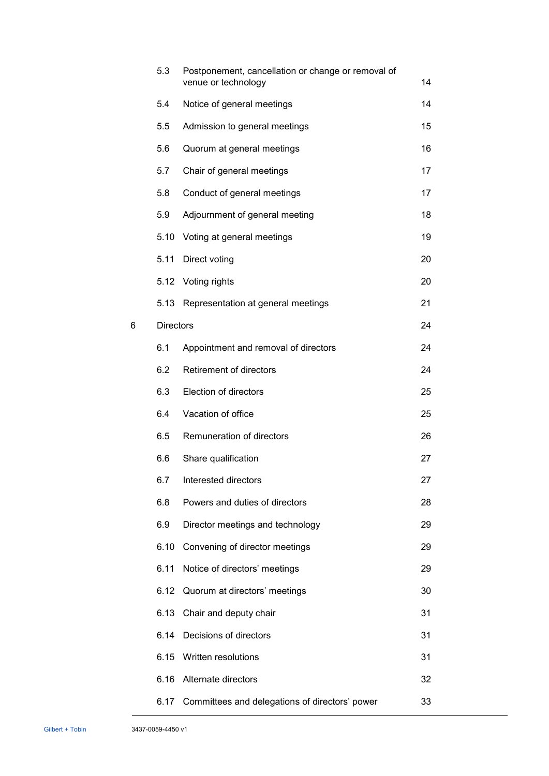|   | 5.3              | Postponement, cancellation or change or removal of<br>venue or technology | 14 |
|---|------------------|---------------------------------------------------------------------------|----|
|   | 5.4              | Notice of general meetings                                                | 14 |
|   | 5.5              | Admission to general meetings                                             | 15 |
|   | 5.6              | Quorum at general meetings                                                | 16 |
|   | 5.7              | Chair of general meetings                                                 | 17 |
|   | 5.8              | Conduct of general meetings                                               | 17 |
|   | 5.9              | Adjournment of general meeting                                            | 18 |
|   | 5.10             | Voting at general meetings                                                | 19 |
|   | 5.11             | Direct voting                                                             | 20 |
|   | 5.12             | Voting rights                                                             | 20 |
|   | 5.13             | Representation at general meetings                                        | 21 |
| 6 | <b>Directors</b> |                                                                           | 24 |
|   | 6.1              | Appointment and removal of directors                                      | 24 |
|   | 6.2              | Retirement of directors                                                   | 24 |
|   | 6.3              | Election of directors                                                     | 25 |
|   | 6.4              | Vacation of office                                                        | 25 |
|   | 6.5              | Remuneration of directors                                                 | 26 |
|   | 6.6              | Share qualification                                                       | 27 |
|   | 6.7              | Interested directors                                                      | 27 |
|   | 6.8              | Powers and duties of directors                                            | 28 |
|   | 6.9              | Director meetings and technology                                          | 29 |
|   | 6.10             | Convening of director meetings                                            | 29 |
|   | 6.11             | Notice of directors' meetings                                             | 29 |
|   | 6.12             | Quorum at directors' meetings                                             | 30 |
|   | 6.13             | Chair and deputy chair                                                    | 31 |
|   | 6.14             | Decisions of directors                                                    | 31 |
|   | 6.15             | Written resolutions                                                       | 31 |
|   | 6.16             | Alternate directors                                                       | 32 |
|   | 6.17             | Committees and delegations of directors' power                            | 33 |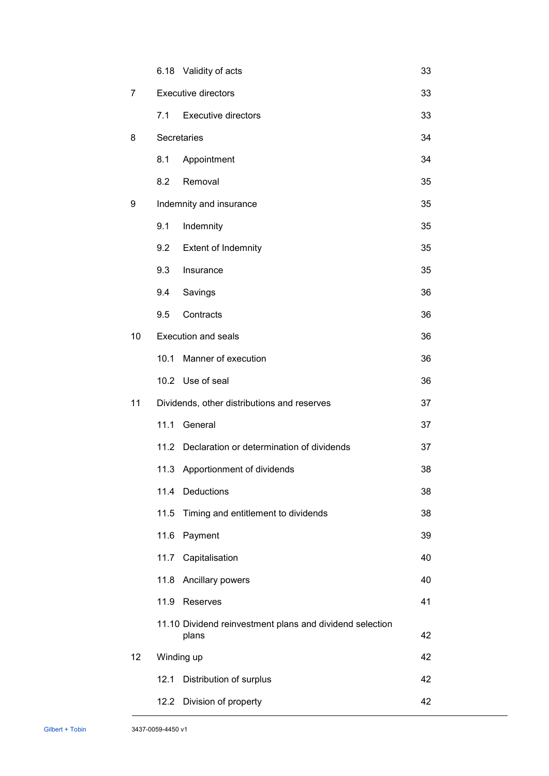|                |                                             | 6.18 Validity of acts                                             | 33 |
|----------------|---------------------------------------------|-------------------------------------------------------------------|----|
| $\overline{7}$ | <b>Executive directors</b>                  |                                                                   |    |
|                | 7.1                                         | <b>Executive directors</b>                                        | 33 |
| 8              |                                             | Secretaries                                                       | 34 |
|                | 8.1                                         | Appointment                                                       | 34 |
|                | 8.2                                         | Removal                                                           | 35 |
| 9              | Indemnity and insurance                     |                                                                   |    |
|                | 9.1                                         | Indemnity                                                         | 35 |
|                | 9.2                                         | <b>Extent of Indemnity</b>                                        | 35 |
|                | 9.3                                         | Insurance                                                         | 35 |
|                | 9.4                                         | Savings                                                           | 36 |
|                | 9.5                                         | Contracts                                                         | 36 |
| 10             |                                             | <b>Execution and seals</b>                                        | 36 |
|                | 10.1                                        | Manner of execution                                               | 36 |
|                |                                             | 10.2 Use of seal                                                  | 36 |
| 11             | Dividends, other distributions and reserves |                                                                   | 37 |
|                | 11.1                                        | General                                                           | 37 |
|                |                                             | 11.2 Declaration or determination of dividends                    | 37 |
|                |                                             | 11.3 Apportionment of dividends                                   | 38 |
|                |                                             | 11.4 Deductions                                                   | 38 |
|                | 11.5                                        | Timing and entitlement to dividends                               | 38 |
|                | 11.6                                        | Payment                                                           | 39 |
|                | 11.7                                        | Capitalisation                                                    | 40 |
|                |                                             | 11.8 Ancillary powers                                             | 40 |
|                | 11.9                                        | Reserves                                                          | 41 |
|                |                                             | 11.10 Dividend reinvestment plans and dividend selection<br>plans | 42 |
| 12             |                                             | Winding up                                                        | 42 |
|                | 12.1                                        | Distribution of surplus                                           | 42 |
|                |                                             | 12.2 Division of property                                         | 42 |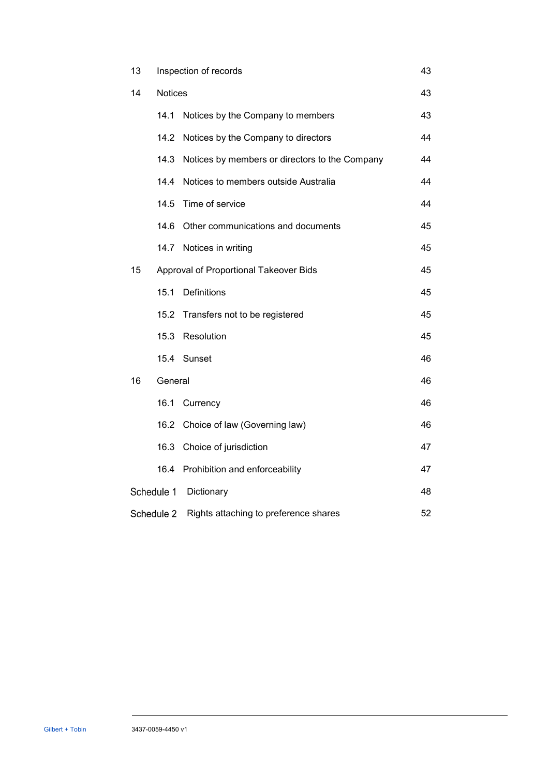| 13                       | Inspection of records |                                                | 43 |
|--------------------------|-----------------------|------------------------------------------------|----|
| 14                       | <b>Notices</b>        |                                                | 43 |
|                          | 14.1                  | Notices by the Company to members              | 43 |
|                          | 14.2                  | Notices by the Company to directors            | 44 |
|                          | 14.3                  | Notices by members or directors to the Company | 44 |
|                          | 14.4                  | Notices to members outside Australia           | 44 |
|                          |                       | 14.5 Time of service                           | 44 |
|                          | 14.6                  | Other communications and documents             | 45 |
|                          | 14.7                  | Notices in writing                             | 45 |
| 15                       |                       | Approval of Proportional Takeover Bids         | 45 |
|                          | 15.1                  | <b>Definitions</b>                             | 45 |
|                          |                       | 15.2 Transfers not to be registered            | 45 |
|                          | 15.3                  | Resolution                                     | 45 |
|                          |                       | 15.4 Sunset                                    | 46 |
| 16<br>General            |                       |                                                | 46 |
|                          | 16.1                  | Currency                                       | 46 |
|                          | 16.2                  | Choice of law (Governing law)                  | 46 |
|                          | 16.3                  | Choice of jurisdiction                         | 47 |
|                          | 16.4                  | Prohibition and enforceability                 | 47 |
| Schedule 1<br>Dictionary |                       |                                                | 48 |
| Schedule 2               |                       | Rights attaching to preference shares          | 52 |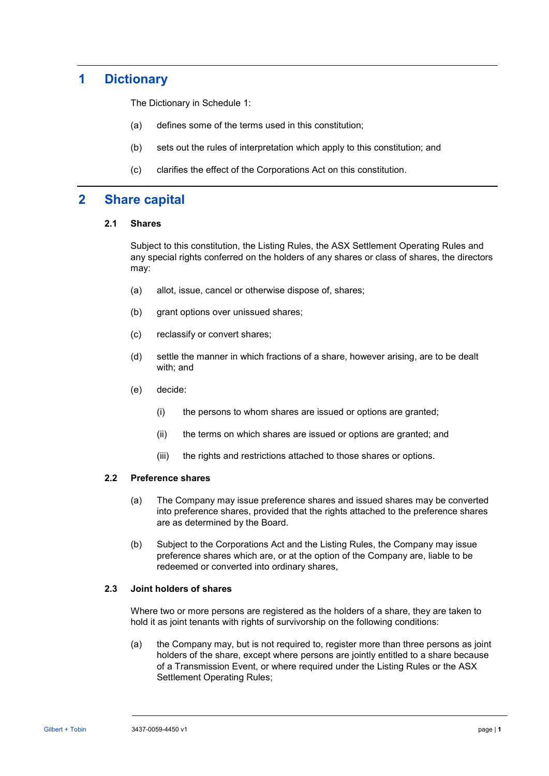# **1 Dictionary**

The Dictionary in [Schedule 1:](#page-52-0)

- (a) defines some of the terms used in this constitution;
- (b) sets out the rules of interpretation which apply to this constitution; and
- (c) clarifies the effect of the Corporations Act on this constitution.

# **2 Share capital**

# **2.1 Shares**

Subject to this constitution, the Listing Rules, the ASX Settlement Operating Rules and any special rights conferred on the holders of any shares or class of shares, the directors may:

- (a) allot, issue, cancel or otherwise dispose of, shares;
- (b) grant options over unissued shares;
- (c) reclassify or convert shares;
- (d) settle the manner in which fractions of a share, however arising, are to be dealt with; and
- (e) decide:
	- (i) the persons to whom shares are issued or options are granted;
	- (ii) the terms on which shares are issued or options are granted; and
	- (iii) the rights and restrictions attached to those shares or options.

# <span id="page-5-1"></span>**2.2 Preference shares**

- (a) The Company may issue preference shares and issued shares may be converted into preference shares, provided that the rights attached to the preference shares are as determined by the Board.
- (b) Subject to the Corporations Act and the Listing Rules, the Company may issue preference shares which are, or at the option of the Company are, liable to be redeemed or converted into ordinary shares,

# <span id="page-5-0"></span>**2.3 Joint holders of shares**

Where two or more persons are registered as the holders of a share, they are taken to hold it as joint tenants with rights of survivorship on the following conditions:

(a) the Company may, but is not required to, register more than three persons as joint holders of the share, except where persons are jointly entitled to a share because of a Transmission Event, or where required under the Listing Rules or the ASX Settlement Operating Rules;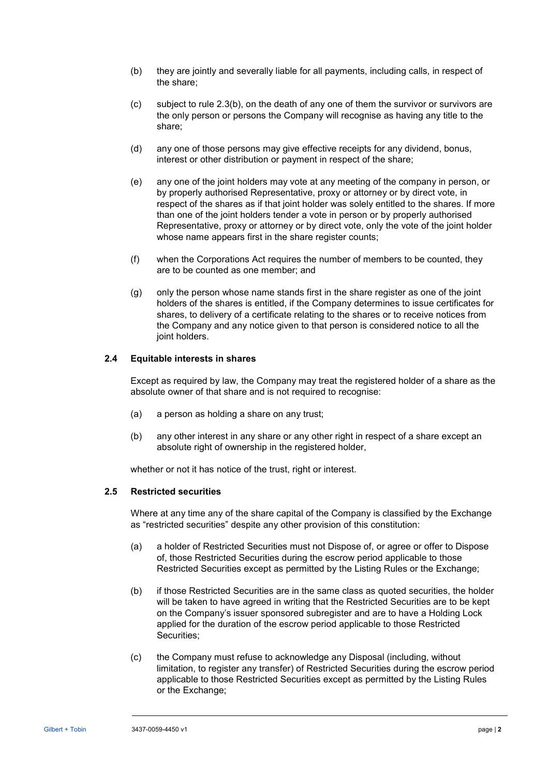- <span id="page-6-0"></span>(b) they are jointly and severally liable for all payments, including calls, in respect of the share;
- (c) subject to rule [2.3\(b\),](#page-6-0) on the death of any one of them the survivor or survivors are the only person or persons the Company will recognise as having any title to the share;
- (d) any one of those persons may give effective receipts for any dividend, bonus, interest or other distribution or payment in respect of the share;
- (e) any one of the joint holders may vote at any meeting of the company in person, or by properly authorised Representative, proxy or attorney or by direct vote, in respect of the shares as if that joint holder was solely entitled to the shares. If more than one of the joint holders tender a vote in person or by properly authorised Representative, proxy or attorney or by direct vote, only the vote of the joint holder whose name appears first in the share register counts;
- (f) when the Corporations Act requires the number of members to be counted, they are to be counted as one member; and
- (g) only the person whose name stands first in the share register as one of the joint holders of the shares is entitled, if the Company determines to issue certificates for shares, to delivery of a certificate relating to the shares or to receive notices from the Company and any notice given to that person is considered notice to all the joint holders.

# **2.4 Equitable interests in shares**

Except as required by law, the Company may treat the registered holder of a share as the absolute owner of that share and is not required to recognise:

- (a) a person as holding a share on any trust;
- (b) any other interest in any share or any other right in respect of a share except an absolute right of ownership in the registered holder,

whether or not it has notice of the trust, right or interest.

#### **2.5 Restricted securities**

Where at any time any of the share capital of the Company is classified by the Exchange as "restricted securities" despite any other provision of this constitution:

- (a) a holder of Restricted Securities must not Dispose of, or agree or offer to Dispose of, those Restricted Securities during the escrow period applicable to those Restricted Securities except as permitted by the Listing Rules or the Exchange;
- (b) if those Restricted Securities are in the same class as quoted securities, the holder will be taken to have agreed in writing that the Restricted Securities are to be kept on the Company's issuer sponsored subregister and are to have a Holding Lock applied for the duration of the escrow period applicable to those Restricted Securities;
- (c) the Company must refuse to acknowledge any Disposal (including, without limitation, to register any transfer) of Restricted Securities during the escrow period applicable to those Restricted Securities except as permitted by the Listing Rules or the Exchange;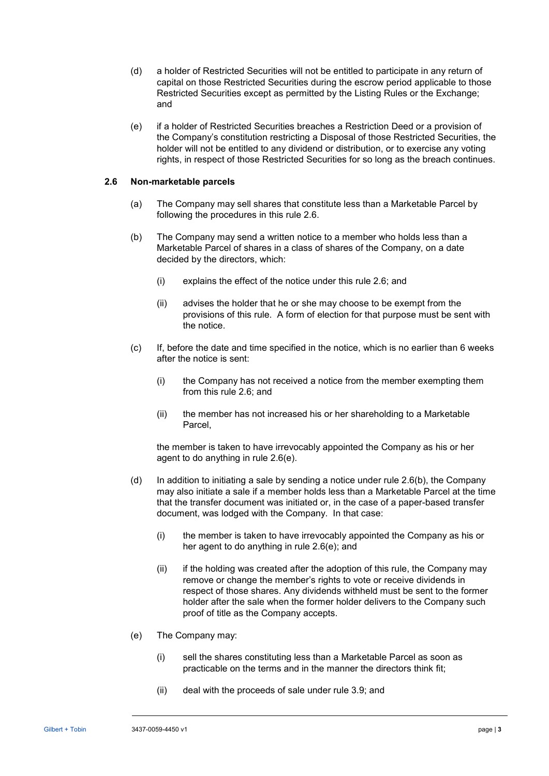- (d) a holder of Restricted Securities will not be entitled to participate in any return of capital on those Restricted Securities during the escrow period applicable to those Restricted Securities except as permitted by the Listing Rules or the Exchange; and
- (e) if a holder of Restricted Securities breaches a Restriction Deed or a provision of the Company's constitution restricting a Disposal of those Restricted Securities, the holder will not be entitled to any dividend or distribution, or to exercise any voting rights, in respect of those Restricted Securities for so long as the breach continues.

# <span id="page-7-0"></span>**2.6 Non-marketable parcels**

- (a) The Company may sell shares that constitute less than a Marketable Parcel by following the procedures in this rule [2.6.](#page-7-0)
- <span id="page-7-2"></span>(b) The Company may send a written notice to a member who holds less than a Marketable Parcel of shares in a class of shares of the Company, on a date decided by the directors, which:
	- (i) explains the effect of the notice under this rule [2.6;](#page-7-0) and
	- (ii) advises the holder that he or she may choose to be exempt from the provisions of this rule. A form of election for that purpose must be sent with the notice.
- (c) If, before the date and time specified in the notice, which is no earlier than 6 weeks after the notice is sent:
	- (i) the Company has not received a notice from the member exempting them from this rule [2.6;](#page-7-0) and
	- (ii) the member has not increased his or her shareholding to a Marketable Parcel,

the member is taken to have irrevocably appointed the Company as his or her agent to do anything in rule [2.6\(e\).](#page-7-1)

- (d) In addition to initiating a sale by sending a notice under rule  $2.6(b)$ , the Company may also initiate a sale if a member holds less than a Marketable Parcel at the time that the transfer document was initiated or, in the case of a paper-based transfer document, was lodged with the Company. In that case:
	- (i) the member is taken to have irrevocably appointed the Company as his or her agent to do anything in rule [2.6\(e\);](#page-7-1) and
	- (ii) if the holding was created after the adoption of this rule, the Company may remove or change the member's rights to vote or receive dividends in respect of those shares. Any dividends withheld must be sent to the former holder after the sale when the former holder delivers to the Company such proof of title as the Company accepts.
- <span id="page-7-1"></span>(e) The Company may:
	- (i) sell the shares constituting less than a Marketable Parcel as soon as practicable on the terms and in the manner the directors think fit;
	- (ii) deal with the proceeds of sale under rule [3.9;](#page-13-0) and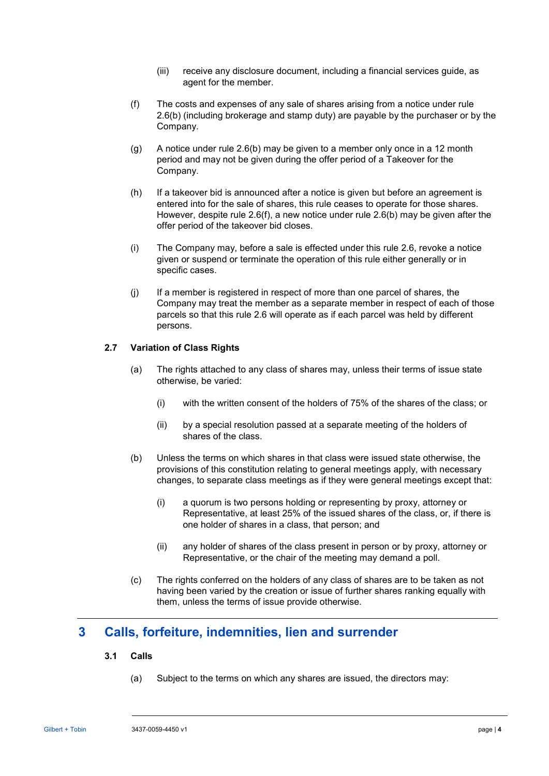- (iii) receive any disclosure document, including a financial services guide, as agent for the member.
- <span id="page-8-0"></span>(f) The costs and expenses of any sale of shares arising from a notice under rule [2.6\(b\)](#page-7-2) (including brokerage and stamp duty) are payable by the purchaser or by the Company.
- (g) A notice under rule [2.6\(b\)](#page-7-2) may be given to a member only once in a 12 month period and may not be given during the offer period of a Takeover for the Company.
- (h) If a takeover bid is announced after a notice is given but before an agreement is entered into for the sale of shares, this rule ceases to operate for those shares. However, despite rule [2.6\(f\),](#page-8-0) a new notice under rule [2.6\(b\)](#page-7-2) may be given after the offer period of the takeover bid closes.
- (i) The Company may, before a sale is effected under this rule [2.6,](#page-7-0) revoke a notice given or suspend or terminate the operation of this rule either generally or in specific cases.
- (j) If a member is registered in respect of more than one parcel of shares, the Company may treat the member as a separate member in respect of each of those parcels so that this rule [2.6](#page-7-0) will operate as if each parcel was held by different persons.

# **2.7 Variation of Class Rights**

- (a) The rights attached to any class of shares may, unless their terms of issue state otherwise, be varied:
	- (i) with the written consent of the holders of 75% of the shares of the class; or
	- (ii) by a special resolution passed at a separate meeting of the holders of shares of the class.
- (b) Unless the terms on which shares in that class were issued state otherwise, the provisions of this constitution relating to general meetings apply, with necessary changes, to separate class meetings as if they were general meetings except that:
	- (i) a quorum is two persons holding or representing by proxy, attorney or Representative, at least 25% of the issued shares of the class, or, if there is one holder of shares in a class, that person; and
	- (ii) any holder of shares of the class present in person or by proxy, attorney or Representative, or the chair of the meeting may demand a poll.
- (c) The rights conferred on the holders of any class of shares are to be taken as not having been varied by the creation or issue of further shares ranking equally with them, unless the terms of issue provide otherwise.

# <span id="page-8-1"></span>**3 Calls, forfeiture, indemnities, lien and surrender**

# **3.1 Calls**

(a) Subject to the terms on which any shares are issued, the directors may: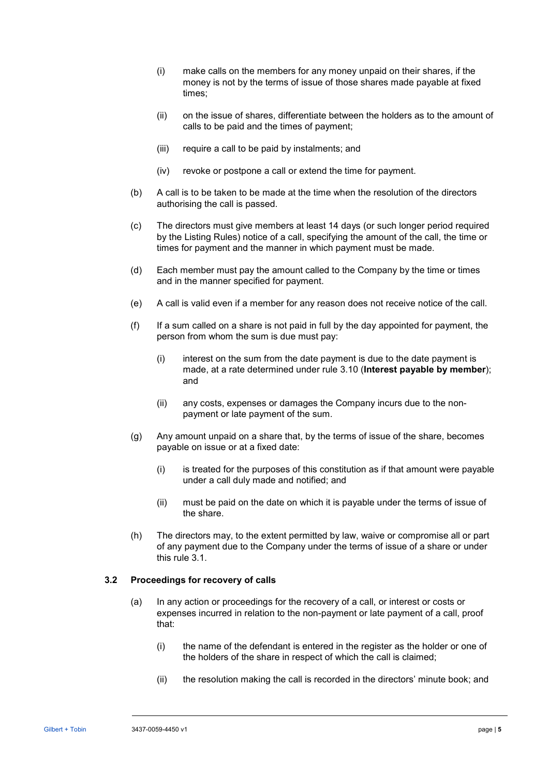- (i) make calls on the members for any money unpaid on their shares, if the money is not by the terms of issue of those shares made payable at fixed times;
- (ii) on the issue of shares, differentiate between the holders as to the amount of calls to be paid and the times of payment;
- (iii) require a call to be paid by instalments; and
- (iv) revoke or postpone a call or extend the time for payment.
- (b) A call is to be taken to be made at the time when the resolution of the directors authorising the call is passed.
- (c) The directors must give members at least 14 days (or such longer period required by the Listing Rules) notice of a call, specifying the amount of the call, the time or times for payment and the manner in which payment must be made.
- (d) Each member must pay the amount called to the Company by the time or times and in the manner specified for payment.
- (e) A call is valid even if a member for any reason does not receive notice of the call.
- <span id="page-9-1"></span>(f) If a sum called on a share is not paid in full by the day appointed for payment, the person from whom the sum is due must pay:
	- (i) interest on the sum from the date payment is due to the date payment is made, at a rate determined under rule [3.10](#page-14-0) (**[Interest payable by member](#page-14-0)**); and
	- (ii) any costs, expenses or damages the Company incurs due to the nonpayment or late payment of the sum.
- (g) Any amount unpaid on a share that, by the terms of issue of the share, becomes payable on issue or at a fixed date:
	- (i) is treated for the purposes of this constitution as if that amount were payable under a call duly made and notified; and
	- (ii) must be paid on the date on which it is payable under the terms of issue of the share.
- (h) The directors may, to the extent permitted by law, waive or compromise all or part of any payment due to the Company under the terms of issue of a share or under this rule [3.1.](#page-8-1)

# <span id="page-9-0"></span>**3.2 Proceedings for recovery of calls**

- (a) In any action or proceedings for the recovery of a call, or interest or costs or expenses incurred in relation to the non-payment or late payment of a call, proof that:
	- (i) the name of the defendant is entered in the register as the holder or one of the holders of the share in respect of which the call is claimed;
	- (ii) the resolution making the call is recorded in the directors' minute book; and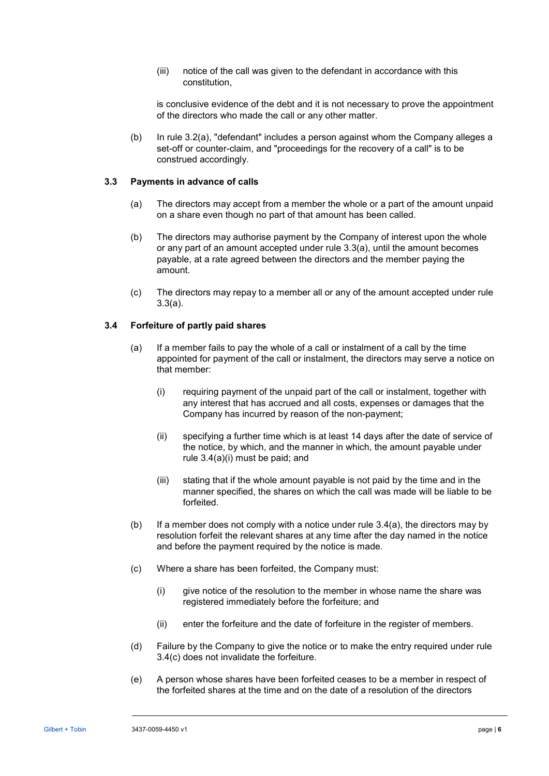(iii) notice of the call was given to the defendant in accordance with this constitution,

is conclusive evidence of the debt and it is not necessary to prove the appointment of the directors who made the call or any other matter.

(b) In rule [3.2\(a\),](#page-9-0) "defendant" includes a person against whom the Company alleges a set-off or counter-claim, and "proceedings for the recovery of a call" is to be construed accordingly.

#### <span id="page-10-0"></span>**3.3 Payments in advance of calls**

- (a) The directors may accept from a member the whole or a part of the amount unpaid on a share even though no part of that amount has been called.
- (b) The directors may authorise payment by the Company of interest upon the whole or any part of an amount accepted under rule [3.3\(a\),](#page-10-0) until the amount becomes payable, at a rate agreed between the directors and the member paying the amount.
- (c) The directors may repay to a member all or any of the amount accepted under rule [3.3\(a\).](#page-10-0)

# <span id="page-10-5"></span><span id="page-10-2"></span>**3.4 Forfeiture of partly paid shares**

- <span id="page-10-1"></span>(a) If a member fails to pay the whole of a call or instalment of a call by the time appointed for payment of the call or instalment, the directors may serve a notice on that member:
	- (i) requiring payment of the unpaid part of the call or instalment, together with any interest that has accrued and all costs, expenses or damages that the Company has incurred by reason of the non-payment;
	- (ii) specifying a further time which is at least 14 days after the date of service of the notice, by which, and the manner in which, the amount payable under rule [3.4\(a\)\(i\)](#page-10-1) must be paid; and
	- (iii) stating that if the whole amount payable is not paid by the time and in the manner specified, the shares on which the call was made will be liable to be forfeited.
- <span id="page-10-6"></span>(b) If a member does not comply with a notice under rule  $3.4(a)$ , the directors may by resolution forfeit the relevant shares at any time after the day named in the notice and before the payment required by the notice is made.
- <span id="page-10-3"></span>(c) Where a share has been forfeited, the Company must:
	- (i) give notice of the resolution to the member in whose name the share was registered immediately before the forfeiture; and
	- (ii) enter the forfeiture and the date of forfeiture in the register of members.
- (d) Failure by the Company to give the notice or to make the entry required under rule [3.4\(c\)](#page-10-3) does not invalidate the forfeiture.
- <span id="page-10-4"></span>(e) A person whose shares have been forfeited ceases to be a member in respect of the forfeited shares at the time and on the date of a resolution of the directors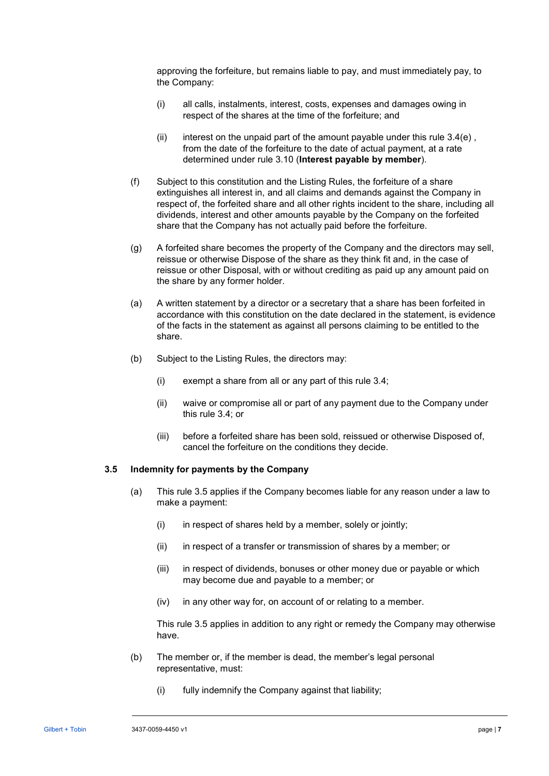approving the forfeiture, but remains liable to pay, and must immediately pay, to the Company:

- (i) all calls, instalments, interest, costs, expenses and damages owing in respect of the shares at the time of the forfeiture; and
- (ii) interest on the unpaid part of the amount payable under this rule  $3.4(e)$ , from the date of the forfeiture to the date of actual payment, at a rate determined under rule [3.10](#page-14-0) (**[Interest payable by member](#page-14-0)**).
- <span id="page-11-3"></span><span id="page-11-2"></span>(f) Subject to this constitution and the Listing Rules, the forfeiture of a share extinguishes all interest in, and all claims and demands against the Company in respect of, the forfeited share and all other rights incident to the share, including all dividends, interest and other amounts payable by the Company on the forfeited share that the Company has not actually paid before the forfeiture.
- <span id="page-11-1"></span>(g) A forfeited share becomes the property of the Company and the directors may sell, reissue or otherwise Dispose of the share as they think fit and, in the case of reissue or other Disposal, with or without crediting as paid up any amount paid on the share by any former holder.
- (a) A written statement by a director or a secretary that a share has been forfeited in accordance with this constitution on the date declared in the statement, is evidence of the facts in the statement as against all persons claiming to be entitled to the share.
- (b) Subject to the Listing Rules, the directors may:
	- (i) exempt a share from all or any part of this rule [3.4;](#page-10-5)
	- (ii) waive or compromise all or part of any payment due to the Company under this rule [3.4;](#page-10-5) or
	- (iii) before a forfeited share has been sold, reissued or otherwise Disposed of, cancel the forfeiture on the conditions they decide.

### <span id="page-11-0"></span>**3.5 Indemnity for payments by the Company**

- (a) This rule [3.5](#page-11-0) applies if the Company becomes liable for any reason under a law to make a payment:
	- $(i)$  in respect of shares held by a member, solely or jointly;
	- (ii) in respect of a transfer or transmission of shares by a member; or
	- (iii) in respect of dividends, bonuses or other money due or payable or which may become due and payable to a member; or
	- (iv) in any other way for, on account of or relating to a member.

This rule [3.5](#page-11-0) applies in addition to any right or remedy the Company may otherwise have.

- (b) The member or, if the member is dead, the member's legal personal representative, must:
	- (i) fully indemnify the Company against that liability;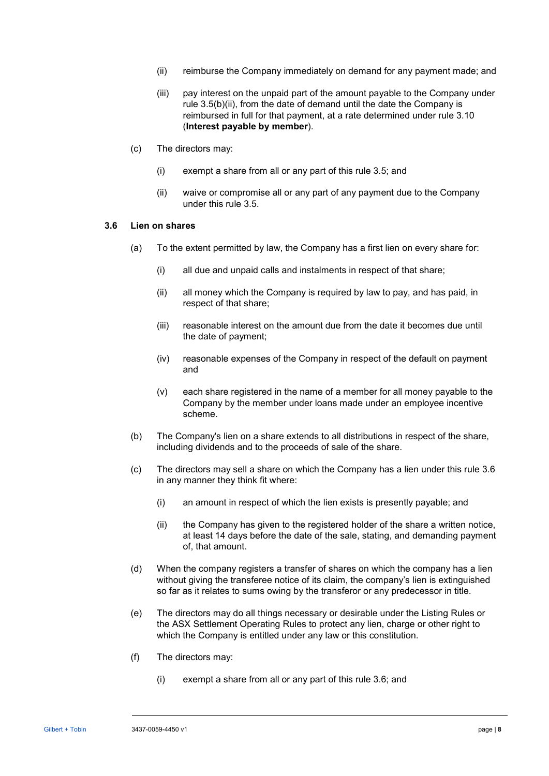- <span id="page-12-0"></span>(ii) reimburse the Company immediately on demand for any payment made; and
- (iii) pay interest on the unpaid part of the amount payable to the Company under rule [3.5\(b\)\(ii\),](#page-12-0) from the date of demand until the date the Company is reimbursed in full for that payment, at a rate determined under rule [3.10](#page-14-0) (**[Interest payable by member](#page-14-0)**).
- <span id="page-12-3"></span>(c) The directors may:
	- (i) exempt a share from all or any part of this rule [3.5;](#page-11-0) and
	- (ii) waive or compromise all or any part of any payment due to the Company under this rule [3.5.](#page-11-0)

### <span id="page-12-1"></span>**3.6 Lien on shares**

- (a) To the extent permitted by law, the Company has a first lien on every share for:
	- (i) all due and unpaid calls and instalments in respect of that share;
	- (ii) all money which the Company is required by law to pay, and has paid, in respect of that share;
	- (iii) reasonable interest on the amount due from the date it becomes due until the date of payment;
	- (iv) reasonable expenses of the Company in respect of the default on payment and
	- (v) each share registered in the name of a member for all money payable to the Company by the member under loans made under an employee incentive scheme.
- (b) The Company's lien on a share extends to all distributions in respect of the share, including dividends and to the proceeds of sale of the share.
- <span id="page-12-2"></span>(c) The directors may sell a share on which the Company has a lien under this rule [3.6](#page-12-1) in any manner they think fit where:
	- (i) an amount in respect of which the lien exists is presently payable; and
	- (ii) the Company has given to the registered holder of the share a written notice, at least 14 days before the date of the sale, stating, and demanding payment of, that amount.
- (d) When the company registers a transfer of shares on which the company has a lien without giving the transferee notice of its claim, the company's lien is extinguished so far as it relates to sums owing by the transferor or any predecessor in title.
- (e) The directors may do all things necessary or desirable under the Listing Rules or the ASX Settlement Operating Rules to protect any lien, charge or other right to which the Company is entitled under any law or this constitution.
- (f) The directors may:
	- (i) exempt a share from all or any part of this rule [3.6;](#page-12-1) and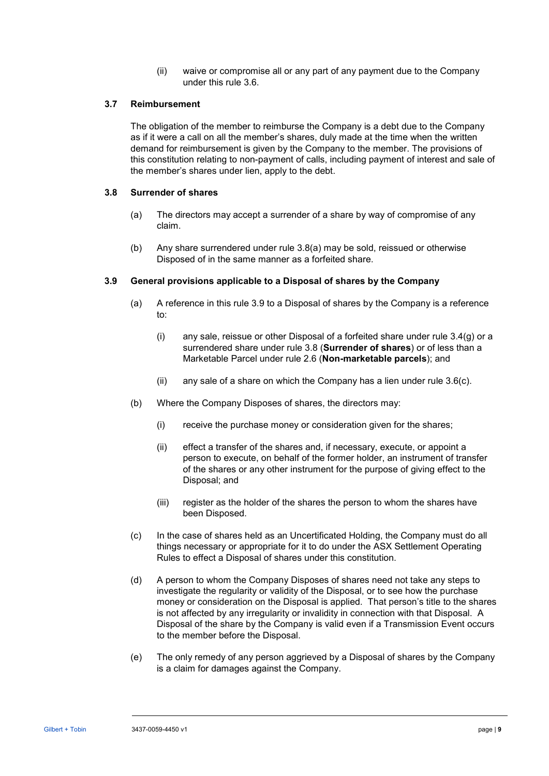(ii) waive or compromise all or any part of any payment due to the Company under this rule [3.6.](#page-12-1)

### **3.7 Reimbursement**

The obligation of the member to reimburse the Company is a debt due to the Company as if it were a call on all the member's shares, duly made at the time when the written demand for reimbursement is given by the Company to the member. The provisions of this constitution relating to non-payment of calls, including payment of interest and sale of the member's shares under lien, apply to the debt.

#### <span id="page-13-2"></span><span id="page-13-1"></span>**3.8 Surrender of shares**

- (a) The directors may accept a surrender of a share by way of compromise of any claim.
- (b) Any share surrendered under rule [3.8\(a\)](#page-13-1) may be sold, reissued or otherwise Disposed of in the same manner as a forfeited share.

#### <span id="page-13-0"></span>**3.9 General provisions applicable to a Disposal of shares by the Company**

- (a) A reference in this rule [3.9](#page-13-0) to a Disposal of shares by the Company is a reference to:
	- (i) any sale, reissue or other Disposal of a forfeited share under rule  $3.4(g)$  or a surrendered share under rule [3.8](#page-13-2) (**[Surrender of shares](#page-13-2)**) or of less than a Marketable Parcel under rule [2.6](#page-7-0) (**[Non-marketable parcels](#page-7-0)**); and
	- (ii) any sale of a share on which the Company has a lien under rule  $3.6(c)$ .
- (b) Where the Company Disposes of shares, the directors may:
	- (i) receive the purchase money or consideration given for the shares;
	- (ii) effect a transfer of the shares and, if necessary, execute, or appoint a person to execute, on behalf of the former holder, an instrument of transfer of the shares or any other instrument for the purpose of giving effect to the Disposal; and
	- (iii) register as the holder of the shares the person to whom the shares have been Disposed.
- (c) In the case of shares held as an Uncertificated Holding, the Company must do all things necessary or appropriate for it to do under the ASX Settlement Operating Rules to effect a Disposal of shares under this constitution.
- (d) A person to whom the Company Disposes of shares need not take any steps to investigate the regularity or validity of the Disposal, or to see how the purchase money or consideration on the Disposal is applied. That person's title to the shares is not affected by any irregularity or invalidity in connection with that Disposal. A Disposal of the share by the Company is valid even if a Transmission Event occurs to the member before the Disposal.
- (e) The only remedy of any person aggrieved by a Disposal of shares by the Company is a claim for damages against the Company.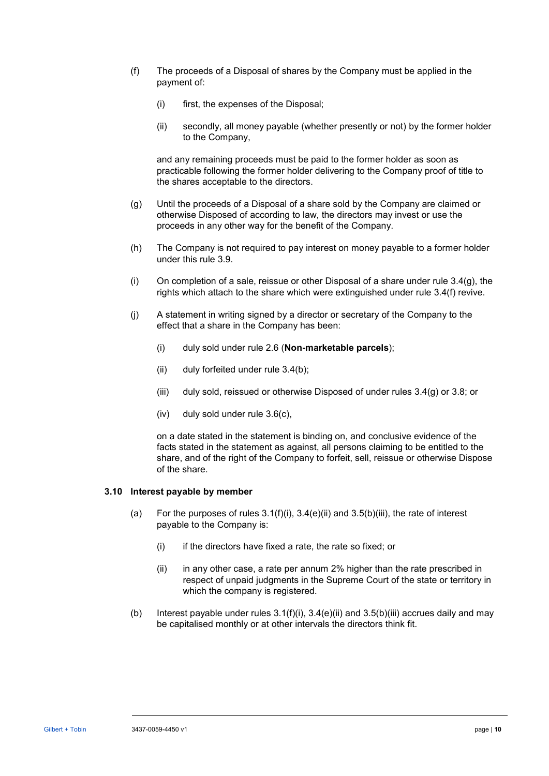- (f) The proceeds of a Disposal of shares by the Company must be applied in the payment of:
	- (i) first, the expenses of the Disposal;
	- (ii) secondly, all money payable (whether presently or not) by the former holder to the Company,

and any remaining proceeds must be paid to the former holder as soon as practicable following the former holder delivering to the Company proof of title to the shares acceptable to the directors.

- (g) Until the proceeds of a Disposal of a share sold by the Company are claimed or otherwise Disposed of according to law, the directors may invest or use the proceeds in any other way for the benefit of the Company.
- (h) The Company is not required to pay interest on money payable to a former holder under this rule [3.9.](#page-13-0)
- (i) On completion of a sale, reissue or other Disposal of a share under rule  $3.4(g)$ , the rights which attach to the share which were extinguished under rule [3.4\(f\)](#page-11-2) revive.
- (j) A statement in writing signed by a director or secretary of the Company to the effect that a share in the Company has been:
	- (i) duly sold under rule [2.6](#page-7-0) (**[Non-marketable parcels](#page-7-0)**);
	- (ii) duly forfeited under rule [3.4\(b\);](#page-10-6)
	- (iii) duly sold, reissued or otherwise Disposed of under rules [3.4\(g\)](#page-11-1) or [3.8;](#page-13-2) or
	- (iv) duly sold under rule [3.6\(c\),](#page-12-2)

on a date stated in the statement is binding on, and conclusive evidence of the facts stated in the statement as against, all persons claiming to be entitled to the share, and of the right of the Company to forfeit, sell, reissue or otherwise Dispose of the share.

#### <span id="page-14-0"></span>**3.10 Interest payable by member**

- (a) For the purposes of rules  $3.1(f)(i)$ ,  $3.4(e)(ii)$  and  $3.5(b)(iii)$ , the rate of interest payable to the Company is:
	- (i) if the directors have fixed a rate, the rate so fixed; or
	- (ii) in any other case, a rate per annum 2% higher than the rate prescribed in respect of unpaid judgments in the Supreme Court of the state or territory in which the company is registered.
- (b) Interest payable under rules  $3.1(f)(i)$ ,  $3.4(e)(ii)$  and  $3.5(b)(iii)$  accrues daily and may be capitalised monthly or at other intervals the directors think fit.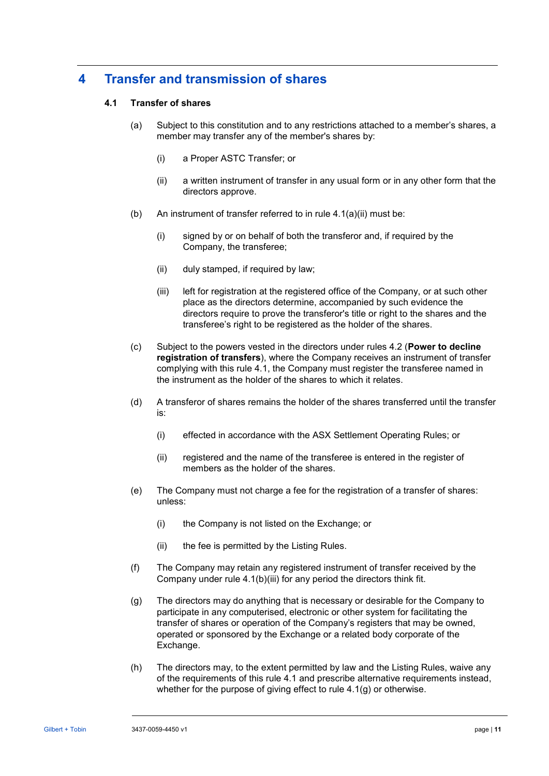# <span id="page-15-1"></span>**4 Transfer and transmission of shares**

# **4.1 Transfer of shares**

- (a) Subject to this constitution and to any restrictions attached to a member's shares, a member may transfer any of the member's shares by:
	- (i) a Proper ASTC Transfer; or
	- (ii) a written instrument of transfer in any usual form or in any other form that the directors approve.
- <span id="page-15-0"></span>(b) An instrument of transfer referred to in rule  $4.1(a)(ii)$  must be:
	- (i) signed by or on behalf of both the transferor and, if required by the Company, the transferee;
	- (ii) duly stamped, if required by law;
	- (iii) left for registration at the registered office of the Company, or at such other place as the directors determine, accompanied by such evidence the directors require to prove the transferor's title or right to the shares and the transferee's right to be registered as the holder of the shares.
- <span id="page-15-4"></span><span id="page-15-2"></span>(c) Subject to the powers vested in the directors under rules [4.2](#page-16-0) (**[Power to decline](#page-16-0)  [registration of transfers](#page-16-0)**), where the Company receives an instrument of transfer complying with this rule [4.1,](#page-15-1) the Company must register the transferee named in the instrument as the holder of the shares to which it relates.
- (d) A transferor of shares remains the holder of the shares transferred until the transfer is:
	- (i) effected in accordance with the ASX Settlement Operating Rules; or
	- (ii) registered and the name of the transferee is entered in the register of members as the holder of the shares.
- (e) The Company must not charge a fee for the registration of a transfer of shares: unless:
	- (i) the Company is not listed on the Exchange; or
	- (ii) the fee is permitted by the Listing Rules.
- (f) The Company may retain any registered instrument of transfer received by the Company under rule [4.1\(b\)\(iii\)](#page-15-2) for any period the directors think fit.
- <span id="page-15-3"></span>(g) The directors may do anything that is necessary or desirable for the Company to participate in any computerised, electronic or other system for facilitating the transfer of shares or operation of the Company's registers that may be owned, operated or sponsored by the Exchange or a related body corporate of the Exchange.
- (h) The directors may, to the extent permitted by law and the Listing Rules, waive any of the requirements of this rule [4.1](#page-15-1) and prescribe alternative requirements instead, whether for the purpose of giving effect to rule [4.1\(g\)](#page-15-3) or otherwise.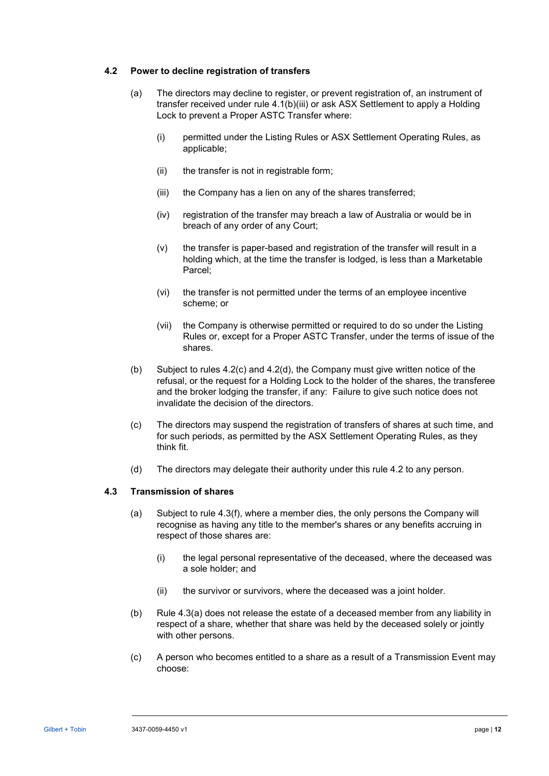## <span id="page-16-0"></span>**4.2 Power to decline registration of transfers**

- (a) The directors may decline to register, or prevent registration of, an instrument of transfer received under rule [4.1\(b\)\(iii\)](#page-15-2) or ask ASX Settlement to apply a Holding Lock to prevent a Proper ASTC Transfer where:
	- (i) permitted under the Listing Rules or ASX Settlement Operating Rules, as applicable;
	- (ii) the transfer is not in registrable form;
	- (iii) the Company has a lien on any of the shares transferred;
	- (iv) registration of the transfer may breach a law of Australia or would be in breach of any order of any Court;
	- (v) the transfer is paper-based and registration of the transfer will result in a holding which, at the time the transfer is lodged, is less than a Marketable Parcel;
	- (vi) the transfer is not permitted under the terms of an employee incentive scheme; or
	- (vii) the Company is otherwise permitted or required to do so under the Listing Rules or, except for a Proper ASTC Transfer, under the terms of issue of the shares.
- (b) Subject to rules [4.2\(c\)](#page-16-1) and [4.2\(d\),](#page-16-2) the Company must give written notice of the refusal, or the request for a Holding Lock to the holder of the shares, the transferee and the broker lodging the transfer, if any: Failure to give such notice does not invalidate the decision of the directors.
- <span id="page-16-1"></span>(c) The directors may suspend the registration of transfers of shares at such time, and for such periods, as permitted by the ASX Settlement Operating Rules, as they think fit.
- (d) The directors may delegate their authority under this rule [4.2](#page-16-0) to any person.

# <span id="page-16-3"></span><span id="page-16-2"></span>**4.3 Transmission of shares**

- (a) Subject to rule [4.3\(f\),](#page-17-0) where a member dies, the only persons the Company will recognise as having any title to the member's shares or any benefits accruing in respect of those shares are:
	- (i) the legal personal representative of the deceased, where the deceased was a sole holder; and
	- (ii) the survivor or survivors, where the deceased was a joint holder.
- (b) Rule [4.3\(a\)](#page-16-3) does not release the estate of a deceased member from any liability in respect of a share, whether that share was held by the deceased solely or jointly with other persons.
- <span id="page-16-4"></span>(c) A person who becomes entitled to a share as a result of a Transmission Event may choose: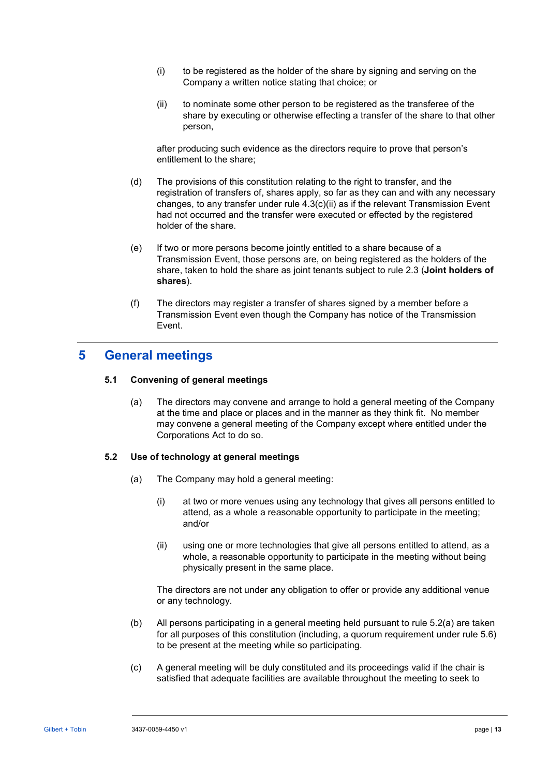- (i) to be registered as the holder of the share by signing and serving on the Company a written notice stating that choice; or
- <span id="page-17-1"></span>(ii) to nominate some other person to be registered as the transferee of the share by executing or otherwise effecting a transfer of the share to that other person,

after producing such evidence as the directors require to prove that person's entitlement to the share;

- (d) The provisions of this constitution relating to the right to transfer, and the registration of transfers of, shares apply, so far as they can and with any necessary changes, to any transfer under rule  $4.3(c)(ii)$  as if the relevant Transmission Event had not occurred and the transfer were executed or effected by the registered holder of the share.
- (e) If two or more persons become jointly entitled to a share because of a Transmission Event, those persons are, on being registered as the holders of the share, taken to hold the share as joint tenants subject to rule [2.3](#page-5-0) (**[Joint holders of](#page-5-0)  [shares](#page-5-0)**).
- (f) The directors may register a transfer of shares signed by a member before a Transmission Event even though the Company has notice of the Transmission Event.

# <span id="page-17-0"></span>**5 General meetings**

# **5.1 Convening of general meetings**

(a) The directors may convene and arrange to hold a general meeting of the Company at the time and place or places and in the manner as they think fit. No member may convene a general meeting of the Company except where entitled under the Corporations Act to do so.

# <span id="page-17-3"></span><span id="page-17-2"></span>**5.2 Use of technology at general meetings**

- <span id="page-17-4"></span>(a) The Company may hold a general meeting:
	- (i) at two or more venues using any technology that gives all persons entitled to attend, as a whole a reasonable opportunity to participate in the meeting; and/or
	- (ii) using one or more technologies that give all persons entitled to attend, as a whole, a reasonable opportunity to participate in the meeting without being physically present in the same place.

The directors are not under any obligation to offer or provide any additional venue or any technology.

- (b) All persons participating in a general meeting held pursuant to rule [5.2\(a\)](#page-17-2) are taken for all purposes of this constitution (including, a quorum requirement under rule [5.6\)](#page-20-0) to be present at the meeting while so participating.
- (c) A general meeting will be duly constituted and its proceedings valid if the chair is satisfied that adequate facilities are available throughout the meeting to seek to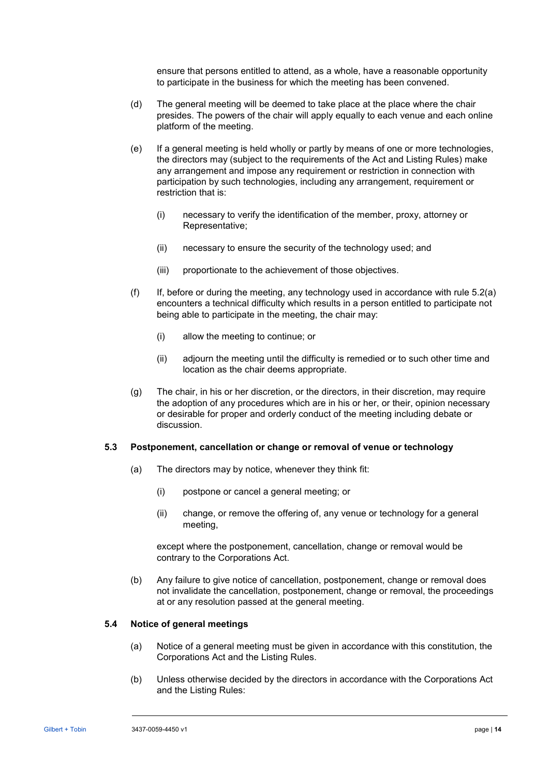ensure that persons entitled to attend, as a whole, have a reasonable opportunity to participate in the business for which the meeting has been convened.

- (d) The general meeting will be deemed to take place at the place where the chair presides. The powers of the chair will apply equally to each venue and each online platform of the meeting.
- (e) If a general meeting is held wholly or partly by means of one or more technologies, the directors may (subject to the requirements of the Act and Listing Rules) make any arrangement and impose any requirement or restriction in connection with participation by such technologies, including any arrangement, requirement or restriction that is:
	- (i) necessary to verify the identification of the member, proxy, attorney or Representative;
	- (ii) necessary to ensure the security of the technology used; and
	- (iii) proportionate to the achievement of those objectives.
- (f) If, before or during the meeting, any technology used in accordance with rule  $5.2(a)$ encounters a technical difficulty which results in a person entitled to participate not being able to participate in the meeting, the chair may:
	- (i) allow the meeting to continue; or
	- (ii) adjourn the meeting until the difficulty is remedied or to such other time and location as the chair deems appropriate.
- (g) The chair, in his or her discretion, or the directors, in their discretion, may require the adoption of any procedures which are in his or her, or their, opinion necessary or desirable for proper and orderly conduct of the meeting including debate or discussion.

# **5.3 Postponement, cancellation or change or removal of venue or technology**

- (a) The directors may by notice, whenever they think fit:
	- (i) postpone or cancel a general meeting; or
	- (ii) change, or remove the offering of, any venue or technology for a general meeting,

except where the postponement, cancellation, change or removal would be contrary to the Corporations Act.

(b) Any failure to give notice of cancellation, postponement, change or removal does not invalidate the cancellation, postponement, change or removal, the proceedings at or any resolution passed at the general meeting.

#### <span id="page-18-0"></span>**5.4 Notice of general meetings**

- (a) Notice of a general meeting must be given in accordance with this constitution, the Corporations Act and the Listing Rules.
- (b) Unless otherwise decided by the directors in accordance with the Corporations Act and the Listing Rules: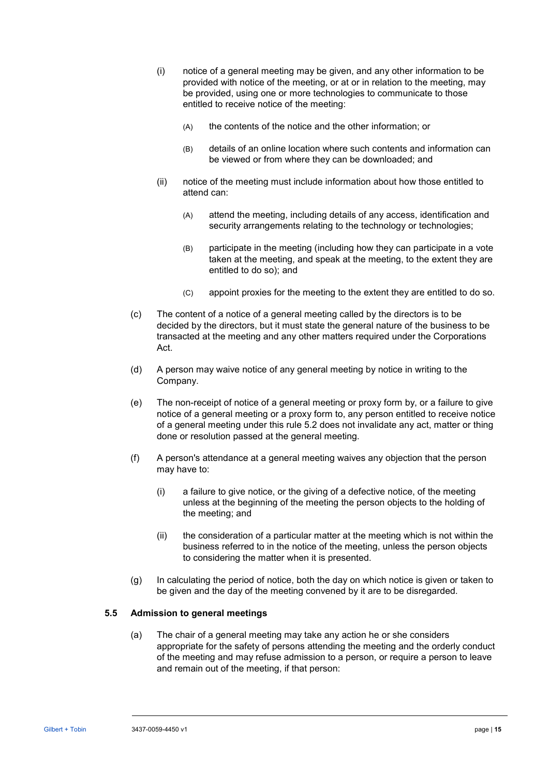- (i) notice of a general meeting may be given, and any other information to be provided with notice of the meeting, or at or in relation to the meeting, may be provided, using one or more technologies to communicate to those entitled to receive notice of the meeting:
	- (A) the contents of the notice and the other information; or
	- (B) details of an online location where such contents and information can be viewed or from where they can be downloaded; and
- (ii) notice of the meeting must include information about how those entitled to attend can:
	- (A) attend the meeting, including details of any access, identification and security arrangements relating to the technology or technologies;
	- (B) participate in the meeting (including how they can participate in a vote taken at the meeting, and speak at the meeting, to the extent they are entitled to do so); and
	- (C) appoint proxies for the meeting to the extent they are entitled to do so.
- (c) The content of a notice of a general meeting called by the directors is to be decided by the directors, but it must state the general nature of the business to be transacted at the meeting and any other matters required under the Corporations Act.
- (d) A person may waive notice of any general meeting by notice in writing to the Company.
- (e) The non-receipt of notice of a general meeting or proxy form by, or a failure to give notice of a general meeting or a proxy form to, any person entitled to receive notice of a general meeting under this rule [5.2](#page-17-3) does not invalidate any act, matter or thing done or resolution passed at the general meeting.
- (f) A person's attendance at a general meeting waives any objection that the person may have to:
	- (i) a failure to give notice, or the giving of a defective notice, of the meeting unless at the beginning of the meeting the person objects to the holding of the meeting; and
	- (ii) the consideration of a particular matter at the meeting which is not within the business referred to in the notice of the meeting, unless the person objects to considering the matter when it is presented.
- <span id="page-19-0"></span>(g) In calculating the period of notice, both the day on which notice is given or taken to be given and the day of the meeting convened by it are to be disregarded.

# **5.5 Admission to general meetings**

(a) The chair of a general meeting may take any action he or she considers appropriate for the safety of persons attending the meeting and the orderly conduct of the meeting and may refuse admission to a person, or require a person to leave and remain out of the meeting, if that person: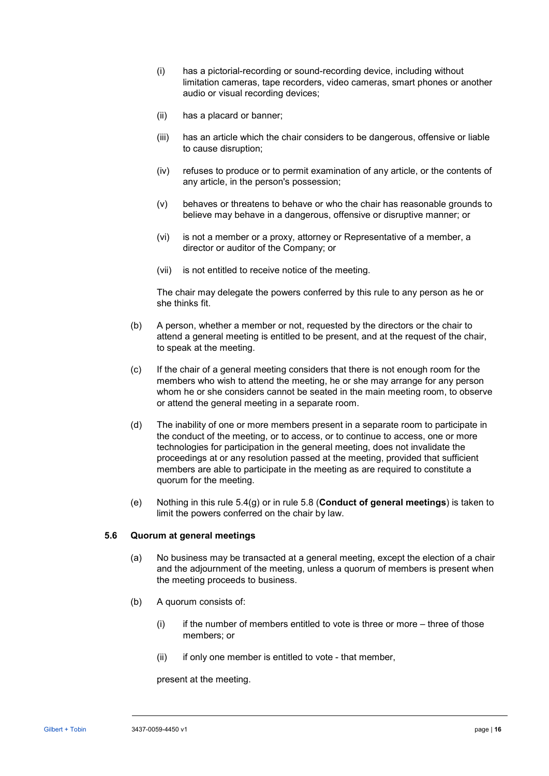- (i) has a pictorial-recording or sound-recording device, including without limitation cameras, tape recorders, video cameras, smart phones or another audio or visual recording devices;
- (ii) has a placard or banner;
- (iii) has an article which the chair considers to be dangerous, offensive or liable to cause disruption;
- (iv) refuses to produce or to permit examination of any article, or the contents of any article, in the person's possession;
- (v) behaves or threatens to behave or who the chair has reasonable grounds to believe may behave in a dangerous, offensive or disruptive manner; or
- (vi) is not a member or a proxy, attorney or Representative of a member, a director or auditor of the Company; or
- (vii) is not entitled to receive notice of the meeting.

The chair may delegate the powers conferred by this rule to any person as he or she thinks fit.

- (b) A person, whether a member or not, requested by the directors or the chair to attend a general meeting is entitled to be present, and at the request of the chair, to speak at the meeting.
- (c) If the chair of a general meeting considers that there is not enough room for the members who wish to attend the meeting, he or she may arrange for any person whom he or she considers cannot be seated in the main meeting room, to observe or attend the general meeting in a separate room.
- (d) The inability of one or more members present in a separate room to participate in the conduct of the meeting, or to access, or to continue to access, one or more technologies for participation in the general meeting, does not invalidate the proceedings at or any resolution passed at the meeting, provided that sufficient members are able to participate in the meeting as are required to constitute a quorum for the meeting.
- (e) Nothing in this rule [5.4\(g\)](#page-19-0) or in rule [5.8](#page-21-0) (**[Conduct of general meetings](#page-21-0)**) is taken to limit the powers conferred on the chair by law.

#### <span id="page-20-0"></span>**5.6 Quorum at general meetings**

- (a) No business may be transacted at a general meeting, except the election of a chair and the adjournment of the meeting, unless a quorum of members is present when the meeting proceeds to business.
- (b) A quorum consists of:
	- (i) if the number of members entitled to vote is three or more three of those members; or
	- (ii) if only one member is entitled to vote that member,

present at the meeting.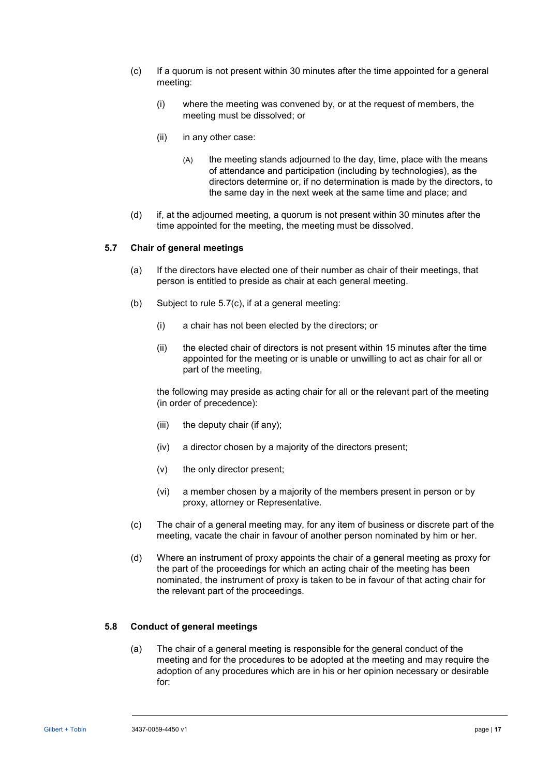- (c) If a quorum is not present within 30 minutes after the time appointed for a general meeting:
	- (i) where the meeting was convened by, or at the request of members, the meeting must be dissolved; or
	- (ii) in any other case:
		- (A) the meeting stands adjourned to the day, time, place with the means of attendance and participation (including by technologies), as the directors determine or, if no determination is made by the directors, to the same day in the next week at the same time and place; and
- (d) if, at the adjourned meeting, a quorum is not present within 30 minutes after the time appointed for the meeting, the meeting must be dissolved.

#### **5.7 Chair of general meetings**

- (a) If the directors have elected one of their number as chair of their meetings, that person is entitled to preside as chair at each general meeting.
- (b) Subject to rule [5.7\(c\),](#page-21-1) if at a general meeting:
	- (i) a chair has not been elected by the directors; or
	- (ii) the elected chair of directors is not present within 15 minutes after the time appointed for the meeting or is unable or unwilling to act as chair for all or part of the meeting,

the following may preside as acting chair for all or the relevant part of the meeting (in order of precedence):

- (iii) the deputy chair (if any);
- (iv) a director chosen by a majority of the directors present;
- (v) the only director present;
- (vi) a member chosen by a majority of the members present in person or by proxy, attorney or Representative.
- <span id="page-21-1"></span>(c) The chair of a general meeting may, for any item of business or discrete part of the meeting, vacate the chair in favour of another person nominated by him or her.
- (d) Where an instrument of proxy appoints the chair of a general meeting as proxy for the part of the proceedings for which an acting chair of the meeting has been nominated, the instrument of proxy is taken to be in favour of that acting chair for the relevant part of the proceedings.

#### <span id="page-21-0"></span>**5.8 Conduct of general meetings**

(a) The chair of a general meeting is responsible for the general conduct of the meeting and for the procedures to be adopted at the meeting and may require the adoption of any procedures which are in his or her opinion necessary or desirable for: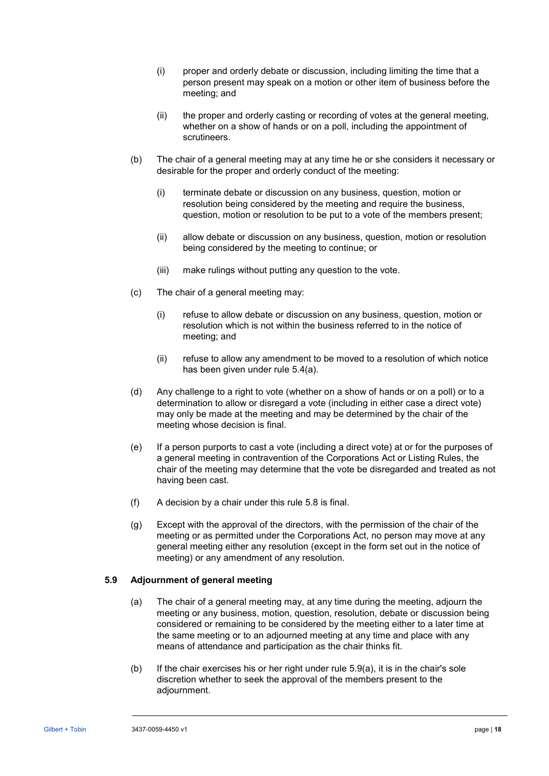- (i) proper and orderly debate or discussion, including limiting the time that a person present may speak on a motion or other item of business before the meeting; and
- (ii) the proper and orderly casting or recording of votes at the general meeting, whether on a show of hands or on a poll, including the appointment of scrutineers.
- (b) The chair of a general meeting may at any time he or she considers it necessary or desirable for the proper and orderly conduct of the meeting:
	- (i) terminate debate or discussion on any business, question, motion or resolution being considered by the meeting and require the business, question, motion or resolution to be put to a vote of the members present;
	- (ii) allow debate or discussion on any business, question, motion or resolution being considered by the meeting to continue; or
	- (iii) make rulings without putting any question to the vote.
- (c) The chair of a general meeting may:
	- (i) refuse to allow debate or discussion on any business, question, motion or resolution which is not within the business referred to in the notice of meeting; and
	- (ii) refuse to allow any amendment to be moved to a resolution of which notice has been given under rule [5.4\(a\).](#page-18-0)
- (d) Any challenge to a right to vote (whether on a show of hands or on a poll) or to a determination to allow or disregard a vote (including in either case a direct vote) may only be made at the meeting and may be determined by the chair of the meeting whose decision is final.
- (e) If a person purports to cast a vote (including a direct vote) at or for the purposes of a general meeting in contravention of the Corporations Act or Listing Rules, the chair of the meeting may determine that the vote be disregarded and treated as not having been cast.
- (f) A decision by a chair under this rule [5.8](#page-21-0) is final.
- (g) Except with the approval of the directors, with the permission of the chair of the meeting or as permitted under the Corporations Act, no person may move at any general meeting either any resolution (except in the form set out in the notice of meeting) or any amendment of any resolution.

# <span id="page-22-0"></span>**5.9 Adjournment of general meeting**

- (a) The chair of a general meeting may, at any time during the meeting, adjourn the meeting or any business, motion, question, resolution, debate or discussion being considered or remaining to be considered by the meeting either to a later time at the same meeting or to an adjourned meeting at any time and place with any means of attendance and participation as the chair thinks fit.
- <span id="page-22-1"></span>(b) If the chair exercises his or her right under rule  $5.9(a)$ , it is in the chair's sole discretion whether to seek the approval of the members present to the adjournment.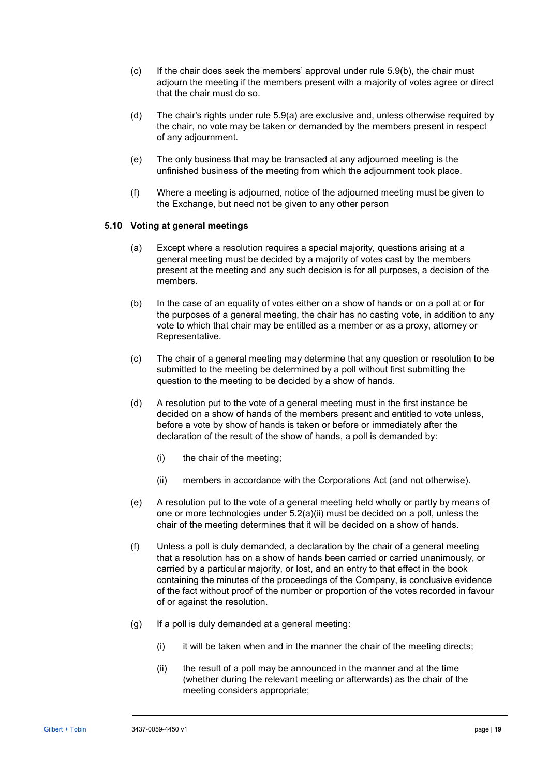- (c) If the chair does seek the members' approval under rule [5.9\(b\),](#page-22-1) the chair must adjourn the meeting if the members present with a majority of votes agree or direct that the chair must do so.
- (d) The chair's rights under rule [5.9\(a\)](#page-22-0) are exclusive and, unless otherwise required by the chair, no vote may be taken or demanded by the members present in respect of any adjournment.
- (e) The only business that may be transacted at any adjourned meeting is the unfinished business of the meeting from which the adjournment took place.
- (f) Where a meeting is adjourned, notice of the adjourned meeting must be given to the Exchange, but need not be given to any other person

## **5.10 Voting at general meetings**

- (a) Except where a resolution requires a special majority, questions arising at a general meeting must be decided by a majority of votes cast by the members present at the meeting and any such decision is for all purposes, a decision of the members.
- (b) In the case of an equality of votes either on a show of hands or on a poll at or for the purposes of a general meeting, the chair has no casting vote, in addition to any vote to which that chair may be entitled as a member or as a proxy, attorney or Representative.
- (c) The chair of a general meeting may determine that any question or resolution to be submitted to the meeting be determined by a poll without first submitting the question to the meeting to be decided by a show of hands.
- (d) A resolution put to the vote of a general meeting must in the first instance be decided on a show of hands of the members present and entitled to vote unless, before a vote by show of hands is taken or before or immediately after the declaration of the result of the show of hands, a poll is demanded by:
	- (i) the chair of the meeting;
	- (ii) members in accordance with the Corporations Act (and not otherwise).
- (e) A resolution put to the vote of a general meeting held wholly or partly by means of one or more technologies under [5.2\(a\)\(ii\)](#page-17-4) must be decided on a poll, unless the chair of the meeting determines that it will be decided on a show of hands.
- (f) Unless a poll is duly demanded, a declaration by the chair of a general meeting that a resolution has on a show of hands been carried or carried unanimously, or carried by a particular majority, or lost, and an entry to that effect in the book containing the minutes of the proceedings of the Company, is conclusive evidence of the fact without proof of the number or proportion of the votes recorded in favour of or against the resolution.
- (g) If a poll is duly demanded at a general meeting:
	- $(i)$  it will be taken when and in the manner the chair of the meeting directs;
	- (ii) the result of a poll may be announced in the manner and at the time (whether during the relevant meeting or afterwards) as the chair of the meeting considers appropriate;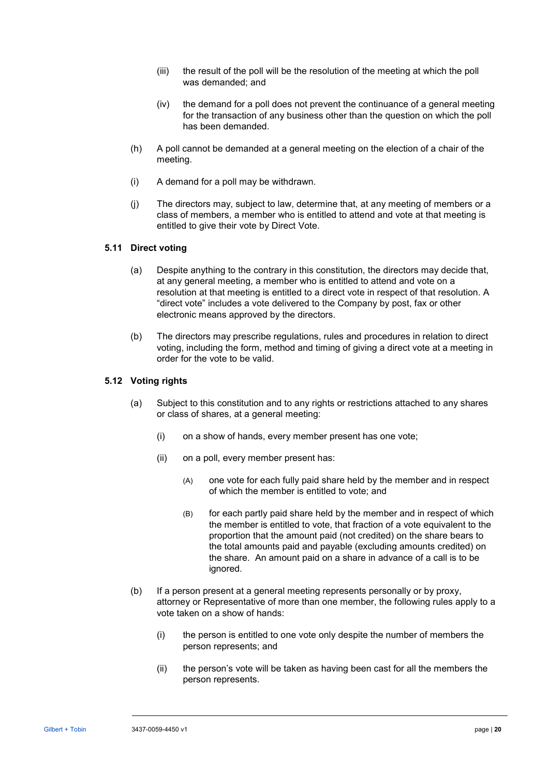- (iii) the result of the poll will be the resolution of the meeting at which the poll was demanded; and
- (iv) the demand for a poll does not prevent the continuance of a general meeting for the transaction of any business other than the question on which the poll has been demanded.
- (h) A poll cannot be demanded at a general meeting on the election of a chair of the meeting.
- (i) A demand for a poll may be withdrawn.
- (j) The directors may, subject to law, determine that, at any meeting of members or a class of members, a member who is entitled to attend and vote at that meeting is entitled to give their vote by Direct Vote.

# <span id="page-24-1"></span><span id="page-24-0"></span>**5.11 Direct voting**

- (a) Despite anything to the contrary in this constitution, the directors may decide that, at any general meeting, a member who is entitled to attend and vote on a resolution at that meeting is entitled to a direct vote in respect of that resolution. A "direct vote" includes a vote delivered to the Company by post, fax or other electronic means approved by the directors.
- (b) The directors may prescribe regulations, rules and procedures in relation to direct voting, including the form, method and timing of giving a direct vote at a meeting in order for the vote to be valid.

### **5.12 Voting rights**

- (a) Subject to this constitution and to any rights or restrictions attached to any shares or class of shares, at a general meeting:
	- (i) on a show of hands, every member present has one vote;
	- (ii) on a poll, every member present has:
		- (A) one vote for each fully paid share held by the member and in respect of which the member is entitled to vote; and
		- (B) for each partly paid share held by the member and in respect of which the member is entitled to vote, that fraction of a vote equivalent to the proportion that the amount paid (not credited) on the share bears to the total amounts paid and payable (excluding amounts credited) on the share. An amount paid on a share in advance of a call is to be ignored.
- (b) If a person present at a general meeting represents personally or by proxy, attorney or Representative of more than one member, the following rules apply to a vote taken on a show of hands:
	- (i) the person is entitled to one vote only despite the number of members the person represents; and
	- (ii) the person's vote will be taken as having been cast for all the members the person represents.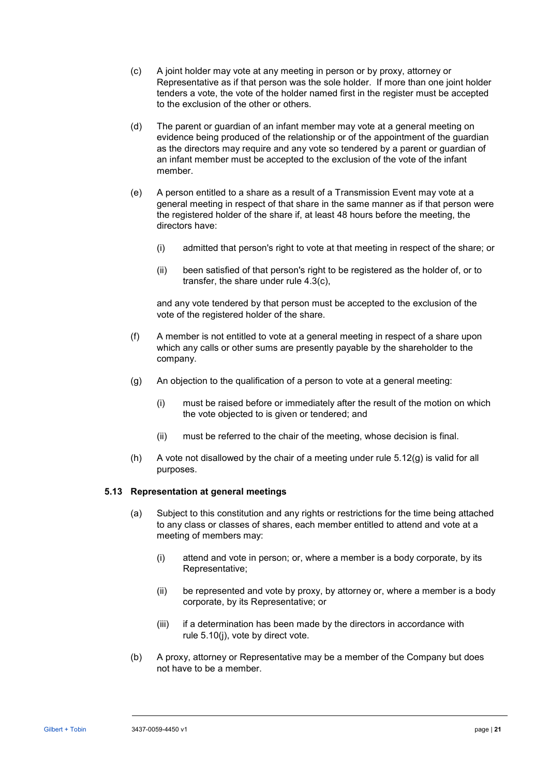- (c) A joint holder may vote at any meeting in person or by proxy, attorney or Representative as if that person was the sole holder. If more than one joint holder tenders a vote, the vote of the holder named first in the register must be accepted to the exclusion of the other or others.
- (d) The parent or guardian of an infant member may vote at a general meeting on evidence being produced of the relationship or of the appointment of the guardian as the directors may require and any vote so tendered by a parent or guardian of an infant member must be accepted to the exclusion of the vote of the infant member.
- (e) A person entitled to a share as a result of a Transmission Event may vote at a general meeting in respect of that share in the same manner as if that person were the registered holder of the share if, at least 48 hours before the meeting, the directors have:
	- (i) admitted that person's right to vote at that meeting in respect of the share; or
	- (ii) been satisfied of that person's right to be registered as the holder of, or to transfer, the share under rule [4.3\(c\),](#page-16-4)

and any vote tendered by that person must be accepted to the exclusion of the vote of the registered holder of the share.

- (f) A member is not entitled to vote at a general meeting in respect of a share upon which any calls or other sums are presently payable by the shareholder to the company.
- <span id="page-25-0"></span>(g) An objection to the qualification of a person to vote at a general meeting:
	- (i) must be raised before or immediately after the result of the motion on which the vote objected to is given or tendered; and
	- (ii) must be referred to the chair of the meeting, whose decision is final.
- (h) A vote not disallowed by the chair of a meeting under rule  $5.12(g)$  is valid for all purposes.

#### **5.13 Representation at general meetings**

- (a) Subject to this constitution and any rights or restrictions for the time being attached to any class or classes of shares, each member entitled to attend and vote at a meeting of members may:
	- (i) attend and vote in person; or, where a member is a body corporate, by its Representative;
	- (ii) be represented and vote by proxy, by attorney or, where a member is a body corporate, by its Representative; or
	- (iii) if a determination has been made by the directors in accordance with rule [5.10\(j\),](#page-24-0) vote by direct vote.
- (b) A proxy, attorney or Representative may be a member of the Company but does not have to be a member.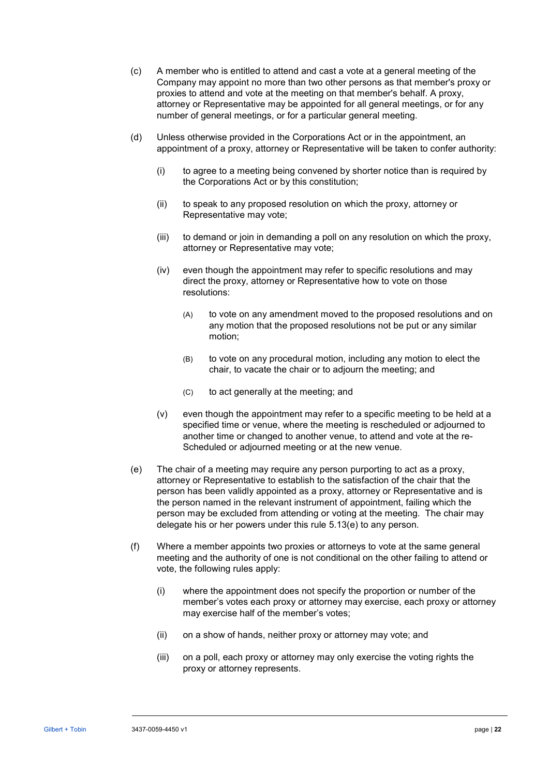- (c) A member who is entitled to attend and cast a vote at a general meeting of the Company may appoint no more than two other persons as that member's proxy or proxies to attend and vote at the meeting on that member's behalf. A proxy, attorney or Representative may be appointed for all general meetings, or for any number of general meetings, or for a particular general meeting.
- (d) Unless otherwise provided in the Corporations Act or in the appointment, an appointment of a proxy, attorney or Representative will be taken to confer authority:
	- (i) to agree to a meeting being convened by shorter notice than is required by the Corporations Act or by this constitution;
	- (ii) to speak to any proposed resolution on which the proxy, attorney or Representative may vote;
	- (iii) to demand or join in demanding a poll on any resolution on which the proxy, attorney or Representative may vote;
	- (iv) even though the appointment may refer to specific resolutions and may direct the proxy, attorney or Representative how to vote on those resolutions:
		- (A) to vote on any amendment moved to the proposed resolutions and on any motion that the proposed resolutions not be put or any similar motion;
		- (B) to vote on any procedural motion, including any motion to elect the chair, to vacate the chair or to adjourn the meeting; and
		- (C) to act generally at the meeting; and
	- (v) even though the appointment may refer to a specific meeting to be held at a specified time or venue, where the meeting is rescheduled or adjourned to another time or changed to another venue, to attend and vote at the re-Scheduled or adjourned meeting or at the new venue.
- <span id="page-26-0"></span>(e) The chair of a meeting may require any person purporting to act as a proxy, attorney or Representative to establish to the satisfaction of the chair that the person has been validly appointed as a proxy, attorney or Representative and is the person named in the relevant instrument of appointment, failing which the person may be excluded from attending or voting at the meeting. The chair may delegate his or her powers under this rule [5.13\(e\)](#page-26-0) to any person.
- (f) Where a member appoints two proxies or attorneys to vote at the same general meeting and the authority of one is not conditional on the other failing to attend or vote, the following rules apply:
	- (i) where the appointment does not specify the proportion or number of the member's votes each proxy or attorney may exercise, each proxy or attorney may exercise half of the member's votes;
	- (ii) on a show of hands, neither proxy or attorney may vote; and
	- (iii) on a poll, each proxy or attorney may only exercise the voting rights the proxy or attorney represents.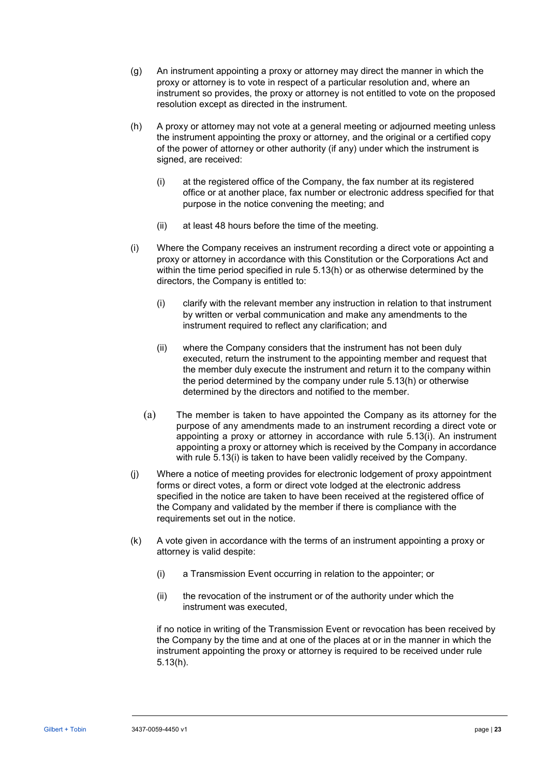- (g) An instrument appointing a proxy or attorney may direct the manner in which the proxy or attorney is to vote in respect of a particular resolution and, where an instrument so provides, the proxy or attorney is not entitled to vote on the proposed resolution except as directed in the instrument.
- <span id="page-27-0"></span>(h) A proxy or attorney may not vote at a general meeting or adjourned meeting unless the instrument appointing the proxy or attorney, and the original or a certified copy of the power of attorney or other authority (if any) under which the instrument is signed, are received:
	- (i) at the registered office of the Company, the fax number at its registered office or at another place, fax number or electronic address specified for that purpose in the notice convening the meeting; and
	- (ii) at least 48 hours before the time of the meeting.
- <span id="page-27-1"></span>(i) Where the Company receives an instrument recording a direct vote or appointing a proxy or attorney in accordance with this Constitution or the Corporations Act and within the time period specified in rule [5.13\(h\)](#page-27-0) or as otherwise determined by the directors, the Company is entitled to:
	- (i) clarify with the relevant member any instruction in relation to that instrument by written or verbal communication and make any amendments to the instrument required to reflect any clarification; and
	- (ii) where the Company considers that the instrument has not been duly executed, return the instrument to the appointing member and request that the member duly execute the instrument and return it to the company within the period determined by the company under rule [5.13\(h\)](#page-27-0) or otherwise determined by the directors and notified to the member.
	- (a) The member is taken to have appointed the Company as its attorney for the purpose of any amendments made to an instrument recording a direct vote or appointing a proxy or attorney in accordance with rule [5.13\(i\).](#page-27-1) An instrument appointing a proxy or attorney which is received by the Company in accordance with rule [5.13\(i\)](#page-27-1) is taken to have been validly received by the Company.
- (j) Where a notice of meeting provides for electronic lodgement of proxy appointment forms or direct votes, a form or direct vote lodged at the electronic address specified in the notice are taken to have been received at the registered office of the Company and validated by the member if there is compliance with the requirements set out in the notice.
- (k) A vote given in accordance with the terms of an instrument appointing a proxy or attorney is valid despite:
	- (i) a Transmission Event occurring in relation to the appointer; or
	- (ii) the revocation of the instrument or of the authority under which the instrument was executed,

if no notice in writing of the Transmission Event or revocation has been received by the Company by the time and at one of the places at or in the manner in which the instrument appointing the proxy or attorney is required to be received under rule [5.13\(h\).](#page-27-0)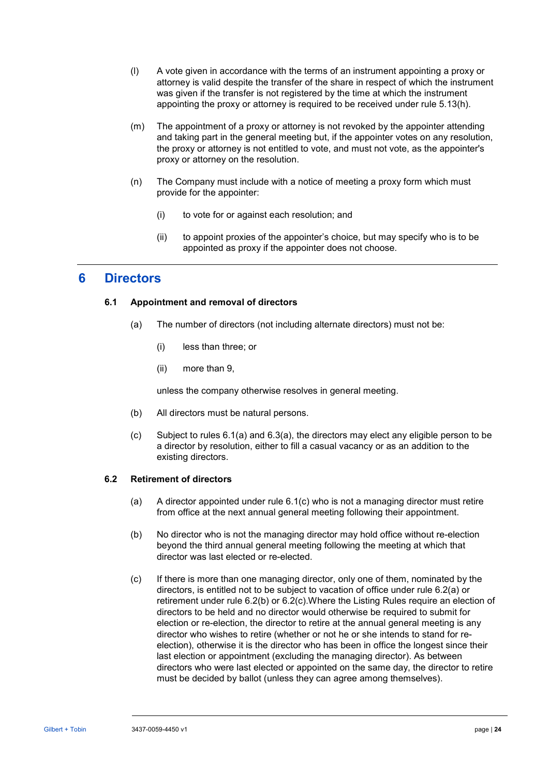- (l) A vote given in accordance with the terms of an instrument appointing a proxy or attorney is valid despite the transfer of the share in respect of which the instrument was given if the transfer is not registered by the time at which the instrument appointing the proxy or attorney is required to be received under rule [5.13\(h\).](#page-27-0)
- (m) The appointment of a proxy or attorney is not revoked by the appointer attending and taking part in the general meeting but, if the appointer votes on any resolution, the proxy or attorney is not entitled to vote, and must not vote, as the appointer's proxy or attorney on the resolution.
- (n) The Company must include with a notice of meeting a proxy form which must provide for the appointer:
	- (i) to vote for or against each resolution; and
	- (ii) to appoint proxies of the appointer's choice, but may specify who is to be appointed as proxy if the appointer does not choose.

# <span id="page-28-6"></span>**6 Directors**

# <span id="page-28-0"></span>**6.1 Appointment and removal of directors**

- (a) The number of directors (not including alternate directors) must not be:
	- (i) less than three; or
	- (ii) more than 9,

unless the company otherwise resolves in general meeting.

- (b) All directors must be natural persons.
- (c) Subject to rules [6.1\(a\)](#page-28-0) and [6.3\(a\),](#page-29-0) the directors may elect any eligible person to be a director by resolution, either to fill a casual vacancy or as an addition to the existing directors.

# <span id="page-28-5"></span><span id="page-28-2"></span><span id="page-28-1"></span>**6.2 Retirement of directors**

- (a) A director appointed under rule [6.1\(c\)](#page-28-1) who is not a managing director must retire from office at the next annual general meeting following their appointment.
- <span id="page-28-3"></span>(b) No director who is not the managing director may hold office without re-election beyond the third annual general meeting following the meeting at which that director was last elected or re-elected.
- <span id="page-28-4"></span>(c) If there is more than one managing director, only one of them, nominated by the directors, is entitled not to be subject to vacation of office under rule [6.2\(a\)](#page-28-2) or retirement under rule [6.2\(b\)](#page-28-3) or [6.2\(c\).](#page-28-4)Where the Listing Rules require an election of directors to be held and no director would otherwise be required to submit for election or re-election, the director to retire at the annual general meeting is any director who wishes to retire (whether or not he or she intends to stand for reelection), otherwise it is the director who has been in office the longest since their last election or appointment (excluding the managing director). As between directors who were last elected or appointed on the same day, the director to retire must be decided by ballot (unless they can agree among themselves).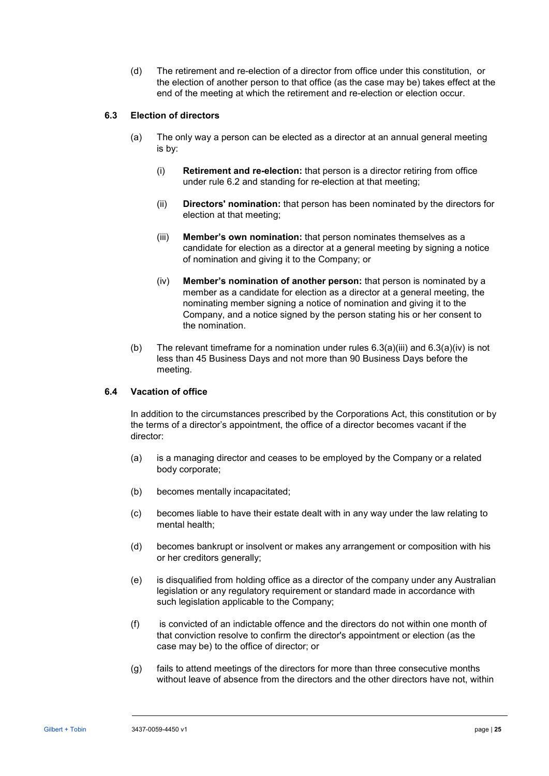(d) The retirement and re-election of a director from office under this constitution, or the election of another person to that office (as the case may be) takes effect at the end of the meeting at which the retirement and re-election or election occur.

# <span id="page-29-0"></span>**6.3 Election of directors**

- <span id="page-29-1"></span>(a) The only way a person can be elected as a director at an annual general meeting is by:
	- (i) **Retirement and re-election:** that person is a director retiring from office under rule [6.2](#page-28-5) and standing for re-election at that meeting;
	- (ii) **Directors' nomination:** that person has been nominated by the directors for election at that meeting;
	- (iii) **Member's own nomination:** that person nominates themselves as a candidate for election as a director at a general meeting by signing a notice of nomination and giving it to the Company; or
	- (iv) **Member's nomination of another person:** that person is nominated by a member as a candidate for election as a director at a general meeting, the nominating member signing a notice of nomination and giving it to the Company, and a notice signed by the person stating his or her consent to the nomination.
- <span id="page-29-2"></span>(b) The relevant timeframe for a nomination under rules  $6.3(a)(iii)$  and  $6.3(a)(iv)$  is not less than 45 Business Days and not more than 90 Business Days before the meeting.

# **6.4 Vacation of office**

In addition to the circumstances prescribed by the Corporations Act, this constitution or by the terms of a director's appointment, the office of a director becomes vacant if the director:

- (a) is a managing director and ceases to be employed by the Company or a related body corporate;
- (b) becomes mentally incapacitated;
- (c) becomes liable to have their estate dealt with in any way under the law relating to mental health;
- (d) becomes bankrupt or insolvent or makes any arrangement or composition with his or her creditors generally;
- (e) is disqualified from holding office as a director of the company under any Australian legislation or any regulatory requirement or standard made in accordance with such legislation applicable to the Company;
- (f) is convicted of an indictable offence and the directors do not within one month of that conviction resolve to confirm the director's appointment or election (as the case may be) to the office of director; or
- (g) fails to attend meetings of the directors for more than three consecutive months without leave of absence from the directors and the other directors have not, within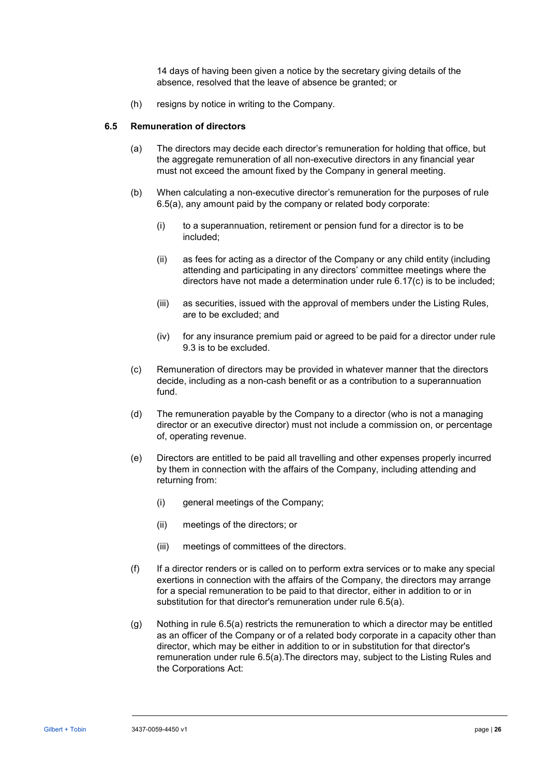14 days of having been given a notice by the secretary giving details of the absence, resolved that the leave of absence be granted; or

(h) resigns by notice in writing to the Company.

#### <span id="page-30-0"></span>**6.5 Remuneration of directors**

- (a) The directors may decide each director's remuneration for holding that office, but the aggregate remuneration of all non-executive directors in any financial year must not exceed the amount fixed by the Company in general meeting.
- (b) When calculating a non-executive director's remuneration for the purposes of rule [6.5\(a\),](#page-30-0) any amount paid by the company or related body corporate:
	- (i) to a superannuation, retirement or pension fund for a director is to be included;
	- (ii) as fees for acting as a director of the Company or any child entity (including attending and participating in any directors' committee meetings where the directors have not made a determination under rule [6.17\(c\)](#page-37-0) is to be included;
	- (iii) as securities, issued with the approval of members under the Listing Rules, are to be excluded; and
	- (iv) for any insurance premium paid or agreed to be paid for a director under rule [9.3](#page-39-0) is to be excluded.
- (c) Remuneration of directors may be provided in whatever manner that the directors decide, including as a non-cash benefit or as a contribution to a superannuation fund.
- (d) The remuneration payable by the Company to a director (who is not a managing director or an executive director) must not include a commission on, or percentage of, operating revenue.
- (e) Directors are entitled to be paid all travelling and other expenses properly incurred by them in connection with the affairs of the Company, including attending and returning from:
	- (i) general meetings of the Company;
	- (ii) meetings of the directors; or
	- (iii) meetings of committees of the directors.
- (f) If a director renders or is called on to perform extra services or to make any special exertions in connection with the affairs of the Company, the directors may arrange for a special remuneration to be paid to that director, either in addition to or in substitution for that director's remuneration under rule [6.5\(a\).](#page-30-0)
- (g) Nothing in rule [6.5\(a\)](#page-30-0) restricts the remuneration to which a director may be entitled as an officer of the Company or of a related body corporate in a capacity other than director, which may be either in addition to or in substitution for that director's remuneration under rule [6.5\(a\).](#page-30-0)The directors may, subject to the Listing Rules and the Corporations Act: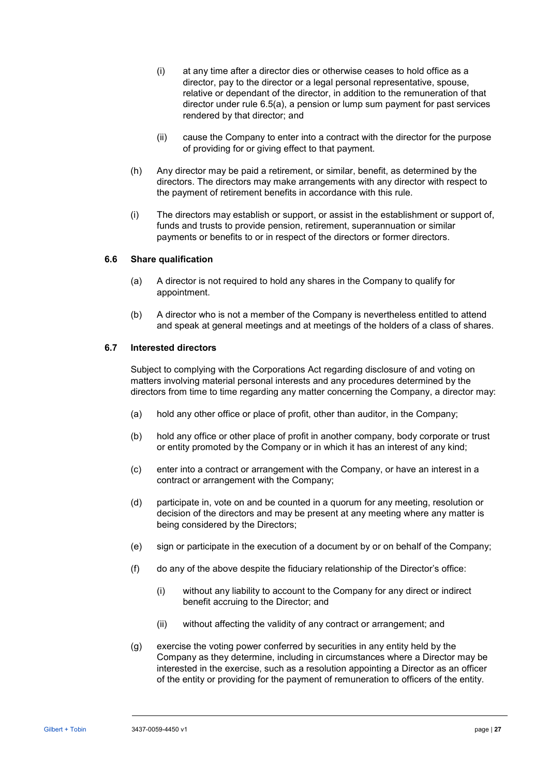- (i) at any time after a director dies or otherwise ceases to hold office as a director, pay to the director or a legal personal representative, spouse, relative or dependant of the director, in addition to the remuneration of that director under rule [6.5\(a\),](#page-30-0) a pension or lump sum payment for past services rendered by that director; and
- (ii) cause the Company to enter into a contract with the director for the purpose of providing for or giving effect to that payment.
- (h) Any director may be paid a retirement, or similar, benefit, as determined by the directors. The directors may make arrangements with any director with respect to the payment of retirement benefits in accordance with this rule.
- (i) The directors may establish or support, or assist in the establishment or support of, funds and trusts to provide pension, retirement, superannuation or similar payments or benefits to or in respect of the directors or former directors.

#### <span id="page-31-0"></span>**6.6 Share qualification**

- (a) A director is not required to hold any shares in the Company to qualify for appointment.
- (b) A director who is not a member of the Company is nevertheless entitled to attend and speak at general meetings and at meetings of the holders of a class of shares.

#### **6.7 Interested directors**

Subject to complying with the Corporations Act regarding disclosure of and voting on matters involving material personal interests and any procedures determined by the directors from time to time regarding any matter concerning the Company, a director may:

- (a) hold any other office or place of profit, other than auditor, in the Company;
- (b) hold any office or other place of profit in another company, body corporate or trust or entity promoted by the Company or in which it has an interest of any kind;
- (c) enter into a contract or arrangement with the Company, or have an interest in a contract or arrangement with the Company;
- (d) participate in, vote on and be counted in a quorum for any meeting, resolution or decision of the directors and may be present at any meeting where any matter is being considered by the Directors;
- (e) sign or participate in the execution of a document by or on behalf of the Company;
- (f) do any of the above despite the fiduciary relationship of the Director's office:
	- (i) without any liability to account to the Company for any direct or indirect benefit accruing to the Director; and
	- (ii) without affecting the validity of any contract or arrangement; and
- (g) exercise the voting power conferred by securities in any entity held by the Company as they determine, including in circumstances where a Director may be interested in the exercise, such as a resolution appointing a Director as an officer of the entity or providing for the payment of remuneration to officers of the entity.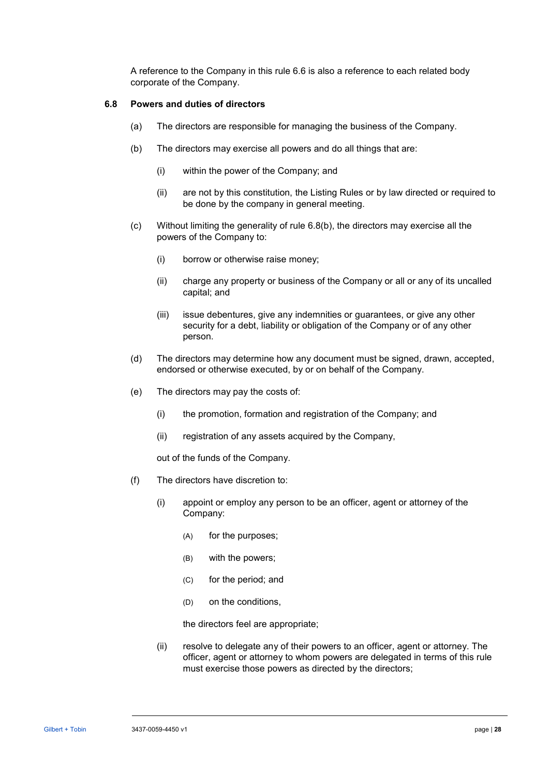A reference to the Company in this rule [6.6](#page-31-0) is also a reference to each related body corporate of the Company.

#### <span id="page-32-0"></span>**6.8 Powers and duties of directors**

- (a) The directors are responsible for managing the business of the Company.
- (b) The directors may exercise all powers and do all things that are:
	- (i) within the power of the Company; and
	- (ii) are not by this constitution, the Listing Rules or by law directed or required to be done by the company in general meeting.
- (c) Without limiting the generality of rule [6.8\(b\),](#page-32-0) the directors may exercise all the powers of the Company to:
	- (i) borrow or otherwise raise money;
	- (ii) charge any property or business of the Company or all or any of its uncalled capital; and
	- (iii) issue debentures, give any indemnities or guarantees, or give any other security for a debt, liability or obligation of the Company or of any other person.
- (d) The directors may determine how any document must be signed, drawn, accepted, endorsed or otherwise executed, by or on behalf of the Company.
- (e) The directors may pay the costs of:
	- (i) the promotion, formation and registration of the Company; and
	- (ii) registration of any assets acquired by the Company,

out of the funds of the Company.

- (f) The directors have discretion to:
	- (i) appoint or employ any person to be an officer, agent or attorney of the Company:
		- (A) for the purposes;
		- (B) with the powers;
		- (C) for the period; and
		- (D) on the conditions,

the directors feel are appropriate;

(ii) resolve to delegate any of their powers to an officer, agent or attorney. The officer, agent or attorney to whom powers are delegated in terms of this rule must exercise those powers as directed by the directors;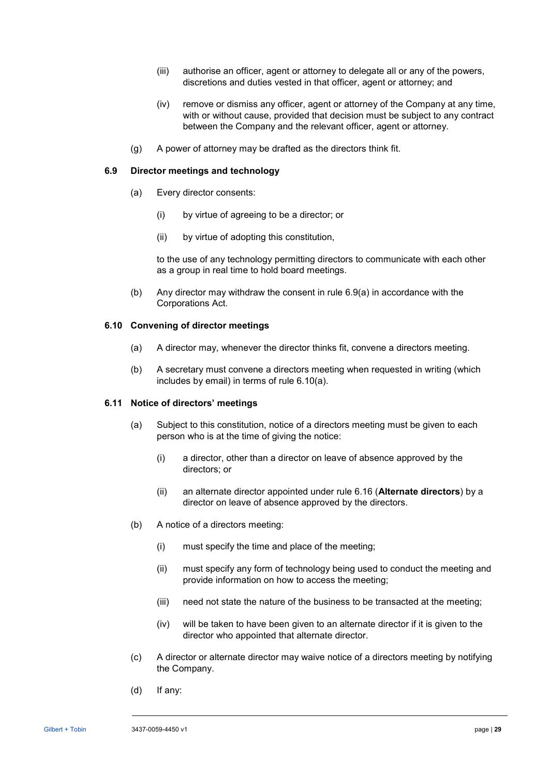- (iii) authorise an officer, agent or attorney to delegate all or any of the powers, discretions and duties vested in that officer, agent or attorney; and
- (iv) remove or dismiss any officer, agent or attorney of the Company at any time, with or without cause, provided that decision must be subject to any contract between the Company and the relevant officer, agent or attorney.
- (g) A power of attorney may be drafted as the directors think fit.

#### <span id="page-33-0"></span>**6.9 Director meetings and technology**

- (a) Every director consents:
	- (i) by virtue of agreeing to be a director; or
	- (ii) by virtue of adopting this constitution,

to the use of any technology permitting directors to communicate with each other as a group in real time to hold board meetings.

(b) Any director may withdraw the consent in rule [6.9\(a\)](#page-33-0) in accordance with the Corporations Act.

#### <span id="page-33-1"></span>**6.10 Convening of director meetings**

- (a) A director may, whenever the director thinks fit, convene a directors meeting.
- (b) A secretary must convene a directors meeting when requested in writing (which includes by email) in terms of rule [6.10\(a\).](#page-33-1)

#### **6.11 Notice of directors' meetings**

- (a) Subject to this constitution, notice of a directors meeting must be given to each person who is at the time of giving the notice:
	- (i) a director, other than a director on leave of absence approved by the directors; or
	- (ii) an alternate director appointed under rule [6.16](#page-36-0) (**[Alternate directors](#page-36-0)**) by a director on leave of absence approved by the directors.
- (b) A notice of a directors meeting:
	- (i) must specify the time and place of the meeting;
	- (ii) must specify any form of technology being used to conduct the meeting and provide information on how to access the meeting;
	- (iii) need not state the nature of the business to be transacted at the meeting;
	- (iv) will be taken to have been given to an alternate director if it is given to the director who appointed that alternate director.
- <span id="page-33-2"></span>(c) A director or alternate director may waive notice of a directors meeting by notifying the Company.
- (d) If any: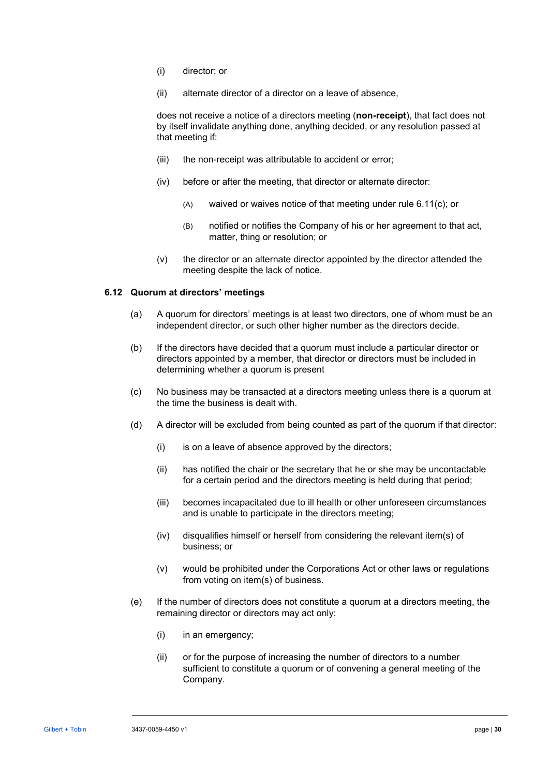- (i) director; or
- (ii) alternate director of a director on a leave of absence,

does not receive a notice of a directors meeting (**non-receipt**), that fact does not by itself invalidate anything done, anything decided, or any resolution passed at that meeting if:

- (iii) the non-receipt was attributable to accident or error;
- (iv) before or after the meeting, that director or alternate director:
	- (A) waived or waives notice of that meeting under rule [6.11\(c\);](#page-33-2) or
	- (B) notified or notifies the Company of his or her agreement to that act, matter, thing or resolution; or
- (v) the director or an alternate director appointed by the director attended the meeting despite the lack of notice.

#### **6.12 Quorum at directors' meetings**

- (a) A quorum for directors' meetings is at least two directors, one of whom must be an independent director, or such other higher number as the directors decide.
- (b) If the directors have decided that a quorum must include a particular director or directors appointed by a member, that director or directors must be included in determining whether a quorum is present
- (c) No business may be transacted at a directors meeting unless there is a quorum at the time the business is dealt with.
- (d) A director will be excluded from being counted as part of the quorum if that director:
	- (i) is on a leave of absence approved by the directors;
	- (ii) has notified the chair or the secretary that he or she may be uncontactable for a certain period and the directors meeting is held during that period;
	- (iii) becomes incapacitated due to ill health or other unforeseen circumstances and is unable to participate in the directors meeting;
	- (iv) disqualifies himself or herself from considering the relevant item(s) of business; or
	- (v) would be prohibited under the Corporations Act or other laws or regulations from voting on item(s) of business.
- (e) If the number of directors does not constitute a quorum at a directors meeting, the remaining director or directors may act only:
	- (i) in an emergency;
	- (ii) or for the purpose of increasing the number of directors to a number sufficient to constitute a quorum or of convening a general meeting of the Company.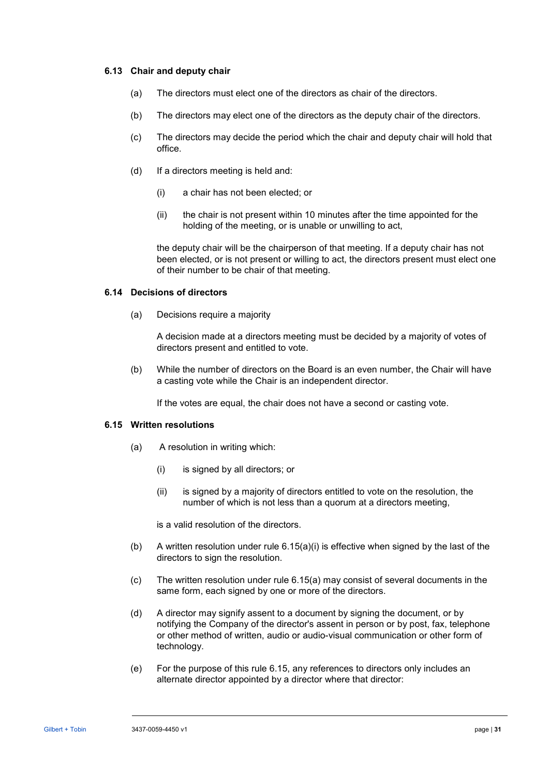#### **6.13 Chair and deputy chair**

- (a) The directors must elect one of the directors as chair of the directors.
- (b) The directors may elect one of the directors as the deputy chair of the directors.
- (c) The directors may decide the period which the chair and deputy chair will hold that office.
- (d) If a directors meeting is held and:
	- (i) a chair has not been elected; or
	- (ii) the chair is not present within 10 minutes after the time appointed for the holding of the meeting, or is unable or unwilling to act,

the deputy chair will be the chairperson of that meeting. If a deputy chair has not been elected, or is not present or willing to act, the directors present must elect one of their number to be chair of that meeting.

#### **6.14 Decisions of directors**

(a) Decisions require a majority

A decision made at a directors meeting must be decided by a majority of votes of directors present and entitled to vote.

(b) While the number of directors on the Board is an even number, the Chair will have a casting vote while the Chair is an independent director.

If the votes are equal, the chair does not have a second or casting vote.

#### <span id="page-35-2"></span><span id="page-35-1"></span><span id="page-35-0"></span>**6.15 Written resolutions**

- (a) A resolution in writing which:
	- (i) is signed by all directors; or
	- (ii) is signed by a majority of directors entitled to vote on the resolution, the number of which is not less than a quorum at a directors meeting,

is a valid resolution of the directors.

- (b) A written resolution under rule  $6.15(a)(i)$  is effective when signed by the last of the directors to sign the resolution.
- (c) The written resolution under rule [6.15\(a\)](#page-35-1) may consist of several documents in the same form, each signed by one or more of the directors.
- (d) A director may signify assent to a document by signing the document, or by notifying the Company of the director's assent in person or by post, fax, telephone or other method of written, audio or audio-visual communication or other form of technology.
- (e) For the purpose of this rule [6.15,](#page-35-2) any references to directors only includes an alternate director appointed by a director where that director: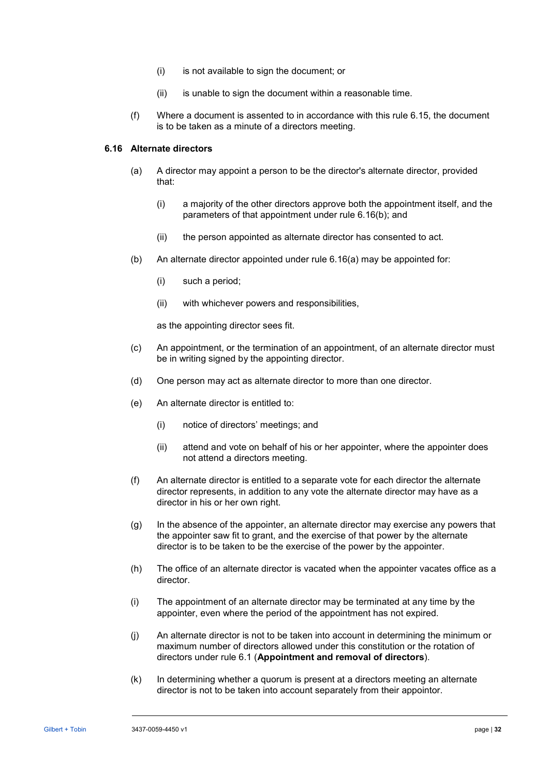- (i) is not available to sign the document; or
- (ii) is unable to sign the document within a reasonable time.
- (f) Where a document is assented to in accordance with this rule [6.15,](#page-35-2) the document is to be taken as a minute of a directors meeting.

# <span id="page-36-2"></span><span id="page-36-0"></span>**6.16 Alternate directors**

- (a) A director may appoint a person to be the director's alternate director, provided that:
	- (i) a majority of the other directors approve both the appointment itself, and the parameters of that appointment under rule [6.16\(b\);](#page-36-1) and
	- (ii) the person appointed as alternate director has consented to act.
- <span id="page-36-1"></span>(b) An alternate director appointed under rule [6.16\(a\)](#page-36-2) may be appointed for:
	- (i) such a period;
	- (ii) with whichever powers and responsibilities,

as the appointing director sees fit.

- (c) An appointment, or the termination of an appointment, of an alternate director must be in writing signed by the appointing director.
- (d) One person may act as alternate director to more than one director.
- (e) An alternate director is entitled to:
	- (i) notice of directors' meetings; and
	- (ii) attend and vote on behalf of his or her appointer, where the appointer does not attend a directors meeting.
- (f) An alternate director is entitled to a separate vote for each director the alternate director represents, in addition to any vote the alternate director may have as a director in his or her own right.
- (g) In the absence of the appointer, an alternate director may exercise any powers that the appointer saw fit to grant, and the exercise of that power by the alternate director is to be taken to be the exercise of the power by the appointer.
- (h) The office of an alternate director is vacated when the appointer vacates office as a director.
- (i) The appointment of an alternate director may be terminated at any time by the appointer, even where the period of the appointment has not expired.
- (j) An alternate director is not to be taken into account in determining the minimum or maximum number of directors allowed under this constitution or the rotation of directors under rule [6.1](#page-28-6) (**[Appointment and removal of directors](#page-28-6)**).
- (k) In determining whether a quorum is present at a directors meeting an alternate director is not to be taken into account separately from their appointor.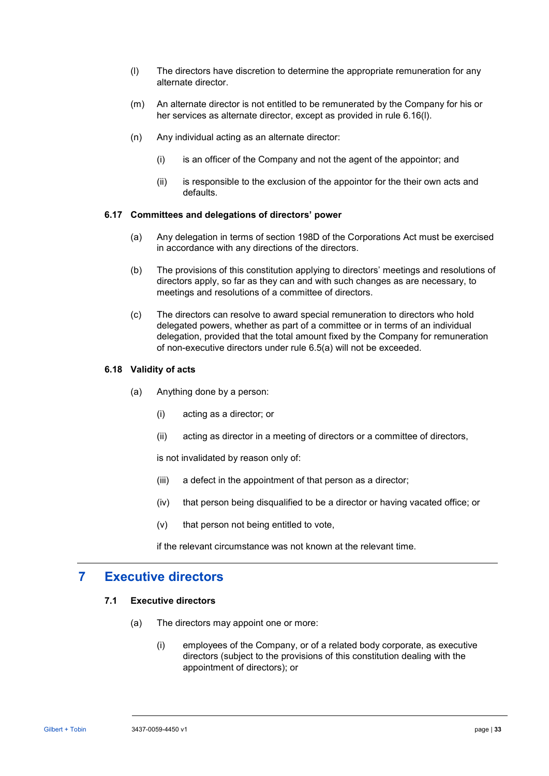- <span id="page-37-1"></span>(l) The directors have discretion to determine the appropriate remuneration for any alternate director.
- (m) An alternate director is not entitled to be remunerated by the Company for his or her services as alternate director, except as provided in rule [6.16\(l\).](#page-37-1)
- (n) Any individual acting as an alternate director:
	- (i) is an officer of the Company and not the agent of the appointor; and
	- (ii) is responsible to the exclusion of the appointor for the their own acts and defaults.

#### **6.17 Committees and delegations of directors' power**

- (a) Any delegation in terms of section 198D of the Corporations Act must be exercised in accordance with any directions of the directors.
- (b) The provisions of this constitution applying to directors' meetings and resolutions of directors apply, so far as they can and with such changes as are necessary, to meetings and resolutions of a committee of directors.
- <span id="page-37-0"></span>(c) The directors can resolve to award special remuneration to directors who hold delegated powers, whether as part of a committee or in terms of an individual delegation, provided that the total amount fixed by the Company for remuneration of non-executive directors under rule [6.5\(a\)](#page-30-0) will not be exceeded.

#### **6.18 Validity of acts**

- (a) Anything done by a person:
	- (i) acting as a director; or
	- (ii) acting as director in a meeting of directors or a committee of directors,

is not invalidated by reason only of:

- (iii) a defect in the appointment of that person as a director;
- (iv) that person being disqualified to be a director or having vacated office; or
- (v) that person not being entitled to vote,

if the relevant circumstance was not known at the relevant time.

# **7 Executive directors**

# <span id="page-37-2"></span>**7.1 Executive directors**

- (a) The directors may appoint one or more:
	- (i) employees of the Company, or of a related body corporate, as executive directors (subject to the provisions of this constitution dealing with the appointment of directors); or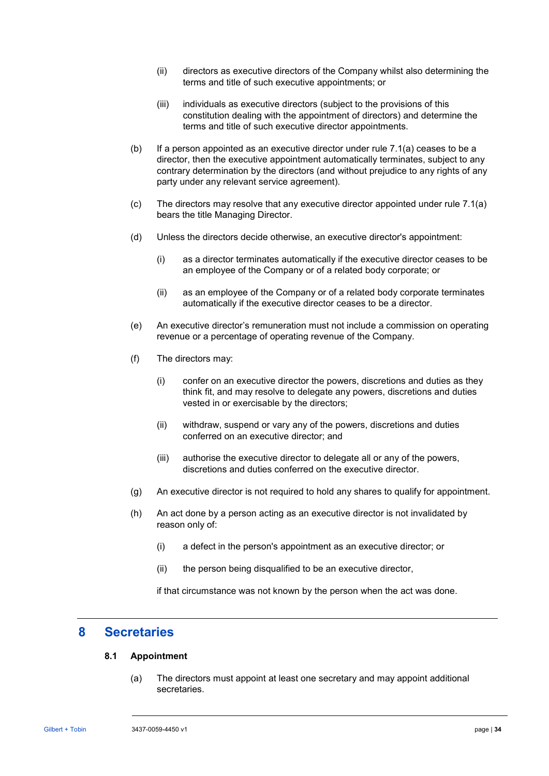- (ii) directors as executive directors of the Company whilst also determining the terms and title of such executive appointments; or
- (iii) individuals as executive directors (subject to the provisions of this constitution dealing with the appointment of directors) and determine the terms and title of such executive director appointments.
- (b) If a person appointed as an executive director under rule [7.1\(a\)](#page-37-2) ceases to be a director, then the executive appointment automatically terminates, subject to any contrary determination by the directors (and without prejudice to any rights of any party under any relevant service agreement).
- (c) The directors may resolve that any executive director appointed under rule [7.1\(a\)](#page-37-2) bears the title Managing Director.
- (d) Unless the directors decide otherwise, an executive director's appointment:
	- (i) as a director terminates automatically if the executive director ceases to be an employee of the Company or of a related body corporate; or
	- (ii) as an employee of the Company or of a related body corporate terminates automatically if the executive director ceases to be a director.
- (e) An executive director's remuneration must not include a commission on operating revenue or a percentage of operating revenue of the Company.
- (f) The directors may:
	- (i) confer on an executive director the powers, discretions and duties as they think fit, and may resolve to delegate any powers, discretions and duties vested in or exercisable by the directors;
	- (ii) withdraw, suspend or vary any of the powers, discretions and duties conferred on an executive director; and
	- (iii) authorise the executive director to delegate all or any of the powers, discretions and duties conferred on the executive director.
- (g) An executive director is not required to hold any shares to qualify for appointment.
- (h) An act done by a person acting as an executive director is not invalidated by reason only of:
	- (i) a defect in the person's appointment as an executive director; or
	- (ii) the person being disqualified to be an executive director,

if that circumstance was not known by the person when the act was done.

# **8 Secretaries**

#### **8.1 Appointment**

(a) The directors must appoint at least one secretary and may appoint additional secretaries.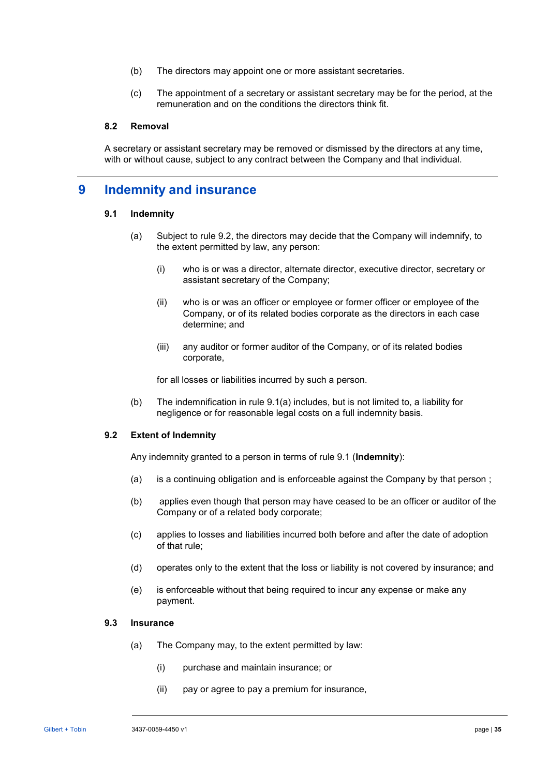- (b) The directors may appoint one or more assistant secretaries.
- (c) The appointment of a secretary or assistant secretary may be for the period, at the remuneration and on the conditions the directors think fit.

### **8.2 Removal**

A secretary or assistant secretary may be removed or dismissed by the directors at any time, with or without cause, subject to any contract between the Company and that individual.

# <span id="page-39-5"></span><span id="page-39-3"></span>**9 Indemnity and insurance**

#### <span id="page-39-2"></span>**9.1 Indemnity**

- (a) Subject to rule [9.2,](#page-39-1) the directors may decide that the Company will indemnify, to the extent permitted by law, any person:
	- (i) who is or was a director, alternate director, executive director, secretary or assistant secretary of the Company;
	- (ii) who is or was an officer or employee or former officer or employee of the Company, or of its related bodies corporate as the directors in each case determine; and
	- (iii) any auditor or former auditor of the Company, or of its related bodies corporate,

for all losses or liabilities incurred by such a person.

(b) The indemnification in rule [9.1\(a\)](#page-39-2) includes, but is not limited to, a liability for negligence or for reasonable legal costs on a full indemnity basis.

#### <span id="page-39-1"></span>**9.2 Extent of Indemnity**

Any indemnity granted to a person in terms of rule [9.1](#page-39-3) (**Indemnity**):

- (a) is a continuing obligation and is enforceable against the Company by that person ;
- (b) applies even though that person may have ceased to be an officer or auditor of the Company or of a related body corporate;
- (c) applies to losses and liabilities incurred both before and after the date of adoption of that rule;
- (d) operates only to the extent that the loss or liability is not covered by insurance; and
- (e) is enforceable without that being required to incur any expense or make any payment.

#### <span id="page-39-4"></span><span id="page-39-0"></span>**9.3 Insurance**

- (a) The Company may, to the extent permitted by law:
	- (i) purchase and maintain insurance; or
	- (ii) pay or agree to pay a premium for insurance,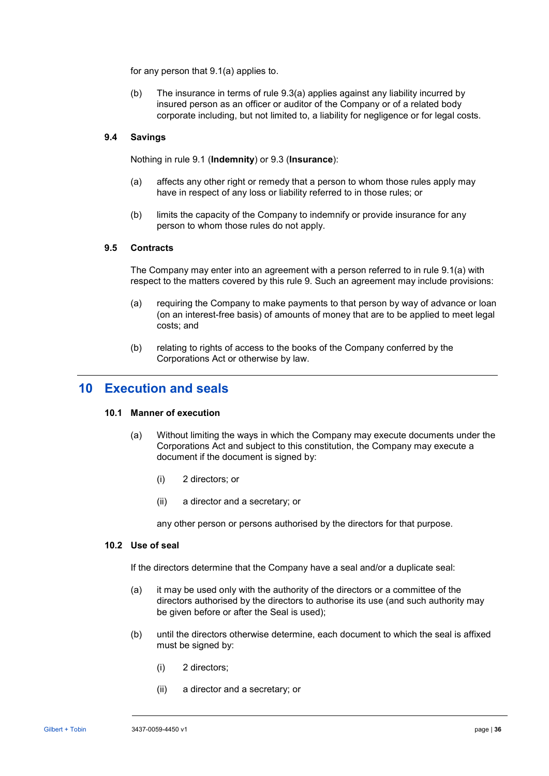for any person that [9.1\(a\)](#page-39-2) applies to.

(b) The insurance in terms of rule [9.3\(a\)](#page-39-4) applies against any liability incurred by insured person as an officer or auditor of the Company or of a related body corporate including, but not limited to, a liability for negligence or for legal costs.

# **9.4 Savings**

Nothing in rule [9.1](#page-39-3) (**[Indemnity](#page-39-3)**) or [9.3](#page-39-0) (**[Insurance](#page-39-0)**):

- (a) affects any other right or remedy that a person to whom those rules apply may have in respect of any loss or liability referred to in those rules; or
- (b) limits the capacity of the Company to indemnify or provide insurance for any person to whom those rules do not apply.

#### **9.5 Contracts**

The Company may enter into an agreement with a person referred to in rule [9.1\(a\)](#page-39-2) with respect to the matters covered by this rule [9.](#page-39-5) Such an agreement may include provisions:

- (a) requiring the Company to make payments to that person by way of advance or loan (on an interest-free basis) of amounts of money that are to be applied to meet legal costs; and
- (b) relating to rights of access to the books of the Company conferred by the Corporations Act or otherwise by law.

# **10 Execution and seals**

#### **10.1 Manner of execution**

- (a) Without limiting the ways in which the Company may execute documents under the Corporations Act and subject to this constitution, the Company may execute a document if the document is signed by:
	- (i) 2 directors; or
	- (ii) a director and a secretary; or

any other person or persons authorised by the directors for that purpose.

#### **10.2 Use of seal**

If the directors determine that the Company have a seal and/or a duplicate seal:

- (a) it may be used only with the authority of the directors or a committee of the directors authorised by the directors to authorise its use (and such authority may be given before or after the Seal is used);
- (b) until the directors otherwise determine, each document to which the seal is affixed must be signed by:
	- (i) 2 directors;
	- (ii) a director and a secretary; or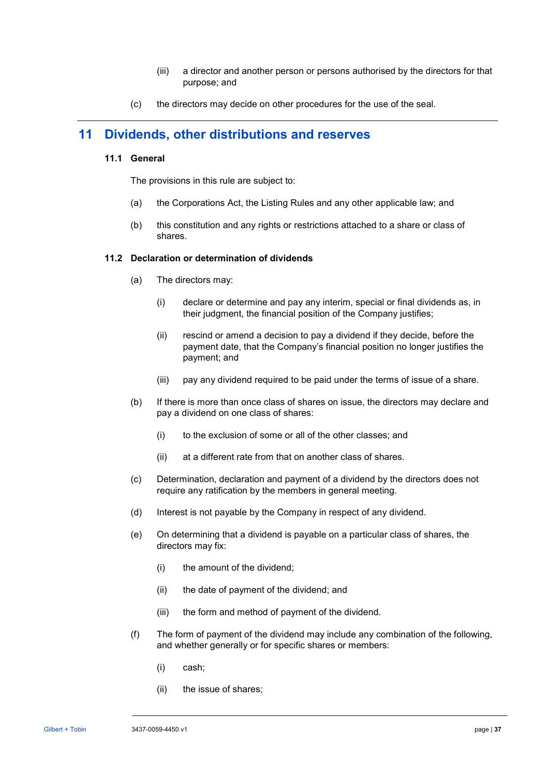- (iii) a director and another person or persons authorised by the directors for that purpose; and
- (c) the directors may decide on other procedures for the use of the seal.

# **11 Dividends, other distributions and reserves**

# **11.1 General**

The provisions in this rule are subject to:

- (a) the Corporations Act, the Listing Rules and any other applicable law; and
- (b) this constitution and any rights or restrictions attached to a share or class of shares.

# **11.2 Declaration or determination of dividends**

- (a) The directors may:
	- (i) declare or determine and pay any interim, special or final dividends as, in their judgment, the financial position of the Company justifies;
	- (ii) rescind or amend a decision to pay a dividend if they decide, before the payment date, that the Company's financial position no longer justifies the payment; and
	- (iii) pay any dividend required to be paid under the terms of issue of a share.
- (b) If there is more than once class of shares on issue, the directors may declare and pay a dividend on one class of shares:
	- (i) to the exclusion of some or all of the other classes; and
	- (ii) at a different rate from that on another class of shares.
- (c) Determination, declaration and payment of a dividend by the directors does not require any ratification by the members in general meeting.
- (d) Interest is not payable by the Company in respect of any dividend.
- (e) On determining that a dividend is payable on a particular class of shares, the directors may fix:
	- (i) the amount of the dividend;
	- (ii) the date of payment of the dividend; and
	- (iii) the form and method of payment of the dividend.
- (f) The form of payment of the dividend may include any combination of the following, and whether generally or for specific shares or members:
	- (i) cash;
	- (ii) the issue of shares;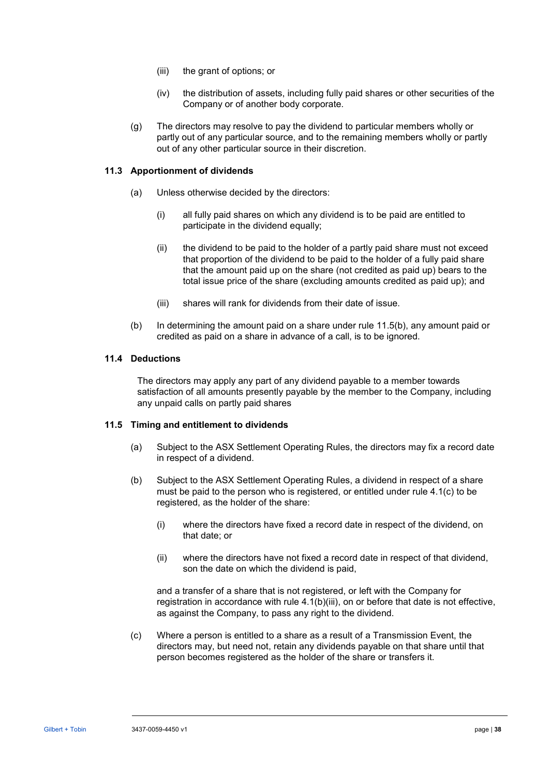- (iii) the grant of options; or
- (iv) the distribution of assets, including fully paid shares or other securities of the Company or of another body corporate.
- (g) The directors may resolve to pay the dividend to particular members wholly or partly out of any particular source, and to the remaining members wholly or partly out of any other particular source in their discretion.

### <span id="page-42-1"></span>**11.3 Apportionment of dividends**

- (a) Unless otherwise decided by the directors:
	- (i) all fully paid shares on which any dividend is to be paid are entitled to participate in the dividend equally;
	- (ii) the dividend to be paid to the holder of a partly paid share must not exceed that proportion of the dividend to be paid to the holder of a fully paid share that the amount paid up on the share (not credited as paid up) bears to the total issue price of the share (excluding amounts credited as paid up); and
	- (iii) shares will rank for dividends from their date of issue.
- (b) In determining the amount paid on a share under rule [11.5\(b\),](#page-42-0) any amount paid or credited as paid on a share in advance of a call, is to be ignored.

# **11.4 Deductions**

The directors may apply any part of any dividend payable to a member towards satisfaction of all amounts presently payable by the member to the Company, including any unpaid calls on partly paid shares

#### <span id="page-42-2"></span>**11.5 Timing and entitlement to dividends**

- (a) Subject to the ASX Settlement Operating Rules, the directors may fix a record date in respect of a dividend.
- <span id="page-42-0"></span>(b) Subject to the ASX Settlement Operating Rules, a dividend in respect of a share must be paid to the person who is registered, or entitled under rule [4.1\(c\)](#page-15-4) to be registered, as the holder of the share:
	- (i) where the directors have fixed a record date in respect of the dividend, on that date; or
	- (ii) where the directors have not fixed a record date in respect of that dividend, son the date on which the dividend is paid,

and a transfer of a share that is not registered, or left with the Company for registration in accordance with rule [4.1\(b\)\(iii\),](#page-15-2) on or before that date is not effective, as against the Company, to pass any right to the dividend.

(c) Where a person is entitled to a share as a result of a Transmission Event, the directors may, but need not, retain any dividends payable on that share until that person becomes registered as the holder of the share or transfers it.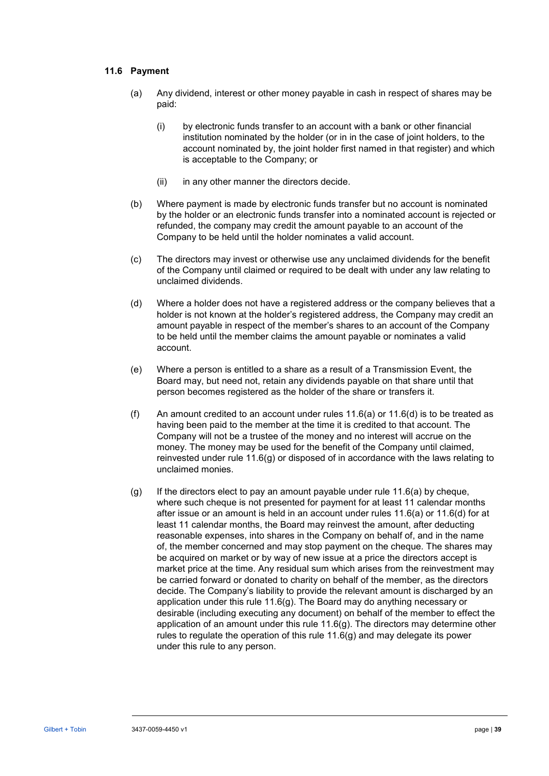### <span id="page-43-0"></span>**11.6 Payment**

- (a) Any dividend, interest or other money payable in cash in respect of shares may be paid:
	- (i) by electronic funds transfer to an account with a bank or other financial institution nominated by the holder (or in in the case of joint holders, to the account nominated by, the joint holder first named in that register) and which is acceptable to the Company; or
	- (ii) in any other manner the directors decide.
- (b) Where payment is made by electronic funds transfer but no account is nominated by the holder or an electronic funds transfer into a nominated account is rejected or refunded, the company may credit the amount payable to an account of the Company to be held until the holder nominates a valid account.
- (c) The directors may invest or otherwise use any unclaimed dividends for the benefit of the Company until claimed or required to be dealt with under any law relating to unclaimed dividends.
- <span id="page-43-1"></span>(d) Where a holder does not have a registered address or the company believes that a holder is not known at the holder's registered address, the Company may credit an amount payable in respect of the member's shares to an account of the Company to be held until the member claims the amount payable or nominates a valid account.
- (e) Where a person is entitled to a share as a result of a Transmission Event, the Board may, but need not, retain any dividends payable on that share until that person becomes registered as the holder of the share or transfers it.
- (f) An amount credited to an account under rules  $11.6(a)$  or  $11.6(d)$  is to be treated as having been paid to the member at the time it is credited to that account. The Company will not be a trustee of the money and no interest will accrue on the money. The money may be used for the benefit of the Company until claimed, reinvested under rule [11.6\(g\)](#page-43-2) or disposed of in accordance with the laws relating to unclaimed monies.
- <span id="page-43-2"></span>(g) If the directors elect to pay an amount payable under rule [11.6\(a\)](#page-43-0) by cheque, where such cheque is not presented for payment for at least 11 calendar months after issue or an amount is held in an account under rules [11.6\(a\)](#page-43-0) or [11.6\(d\)](#page-43-1) for at least 11 calendar months, the Board may reinvest the amount, after deducting reasonable expenses, into shares in the Company on behalf of, and in the name of, the member concerned and may stop payment on the cheque. The shares may be acquired on market or by way of new issue at a price the directors accept is market price at the time. Any residual sum which arises from the reinvestment may be carried forward or donated to charity on behalf of the member, as the directors decide. The Company's liability to provide the relevant amount is discharged by an application under this rule [11.6\(g\).](#page-43-2) The Board may do anything necessary or desirable (including executing any document) on behalf of the member to effect the application of an amount under this rule [11.6\(g\).](#page-43-2) The directors may determine other rules to regulate the operation of this rule [11.6\(g\)](#page-43-2) and may delegate its power under this rule to any person.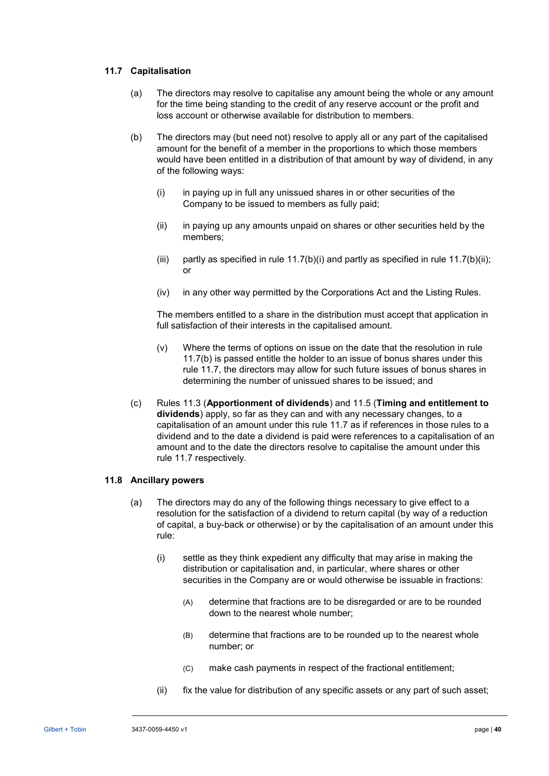# <span id="page-44-3"></span>**11.7 Capitalisation**

- (a) The directors may resolve to capitalise any amount being the whole or any amount for the time being standing to the credit of any reserve account or the profit and loss account or otherwise available for distribution to members.
- <span id="page-44-2"></span><span id="page-44-1"></span><span id="page-44-0"></span>(b) The directors may (but need not) resolve to apply all or any part of the capitalised amount for the benefit of a member in the proportions to which those members would have been entitled in a distribution of that amount by way of dividend, in any of the following ways:
	- (i) in paying up in full any unissued shares in or other securities of the Company to be issued to members as fully paid;
	- (ii) in paying up any amounts unpaid on shares or other securities held by the members;
	- (iii) partly as specified in rule  $11.7(b)(i)$  and partly as specified in rule  $11.7(b)(ii)$ ; or
	- (iv) in any other way permitted by the Corporations Act and the Listing Rules.

The members entitled to a share in the distribution must accept that application in full satisfaction of their interests in the capitalised amount.

- (v) Where the terms of options on issue on the date that the resolution in rule [11.7\(b\)](#page-44-2) is passed entitle the holder to an issue of bonus shares under this rule [11.7,](#page-44-3) the directors may allow for such future issues of bonus shares in determining the number of unissued shares to be issued; and
- (c) Rules [11.3](#page-42-1) (**[Apportionment of dividends](#page-42-1)**) and [11.5](#page-42-2) (**Timing and [entitlement to](#page-42-2)  [dividends](#page-42-2)**) apply, so far as they can and with any necessary changes, to a capitalisation of an amount under this rule [11.7](#page-44-3) as if references in those rules to a dividend and to the date a dividend is paid were references to a capitalisation of an amount and to the date the directors resolve to capitalise the amount under this rule [11.7](#page-44-3) respectively.

# <span id="page-44-4"></span>**11.8 Ancillary powers**

- (a) The directors may do any of the following things necessary to give effect to a resolution for the satisfaction of a dividend to return capital (by way of a reduction of capital, a buy-back or otherwise) or by the capitalisation of an amount under this rule:
	- (i) settle as they think expedient any difficulty that may arise in making the distribution or capitalisation and, in particular, where shares or other securities in the Company are or would otherwise be issuable in fractions:
		- (A) determine that fractions are to be disregarded or are to be rounded down to the nearest whole number;
		- (B) determine that fractions are to be rounded up to the nearest whole number; or
		- (C) make cash payments in respect of the fractional entitlement;
	- (ii) fix the value for distribution of any specific assets or any part of such asset;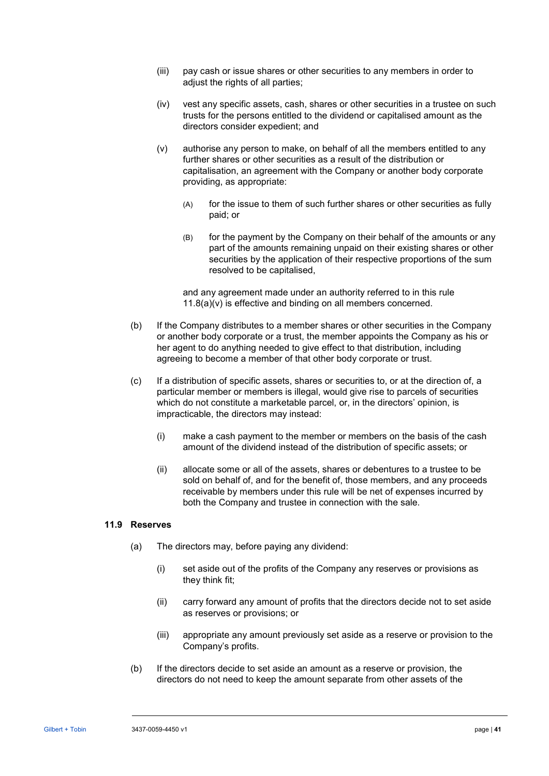- (iii) pay cash or issue shares or other securities to any members in order to adjust the rights of all parties;
- (iv) vest any specific assets, cash, shares or other securities in a trustee on such trusts for the persons entitled to the dividend or capitalised amount as the directors consider expedient; and
- <span id="page-45-0"></span>(v) authorise any person to make, on behalf of all the members entitled to any further shares or other securities as a result of the distribution or capitalisation, an agreement with the Company or another body corporate providing, as appropriate:
	- (A) for the issue to them of such further shares or other securities as fully paid; or
	- (B) for the payment by the Company on their behalf of the amounts or any part of the amounts remaining unpaid on their existing shares or other securities by the application of their respective proportions of the sum resolved to be capitalised,

and any agreement made under an authority referred to in this rule [11.8\(a\)\(v\)](#page-45-0) is effective and binding on all members concerned.

- (b) If the Company distributes to a member shares or other securities in the Company or another body corporate or a trust, the member appoints the Company as his or her agent to do anything needed to give effect to that distribution, including agreeing to become a member of that other body corporate or trust.
- (c) If a distribution of specific assets, shares or securities to, or at the direction of, a particular member or members is illegal, would give rise to parcels of securities which do not constitute a marketable parcel, or, in the directors' opinion, is impracticable, the directors may instead:
	- (i) make a cash payment to the member or members on the basis of the cash amount of the dividend instead of the distribution of specific assets; or
	- (ii) allocate some or all of the assets, shares or debentures to a trustee to be sold on behalf of, and for the benefit of, those members, and any proceeds receivable by members under this rule will be net of expenses incurred by both the Company and trustee in connection with the sale.

# **11.9 Reserves**

- (a) The directors may, before paying any dividend:
	- (i) set aside out of the profits of the Company any reserves or provisions as they think fit;
	- (ii) carry forward any amount of profits that the directors decide not to set aside as reserves or provisions; or
	- (iii) appropriate any amount previously set aside as a reserve or provision to the Company's profits.
- (b) If the directors decide to set aside an amount as a reserve or provision, the directors do not need to keep the amount separate from other assets of the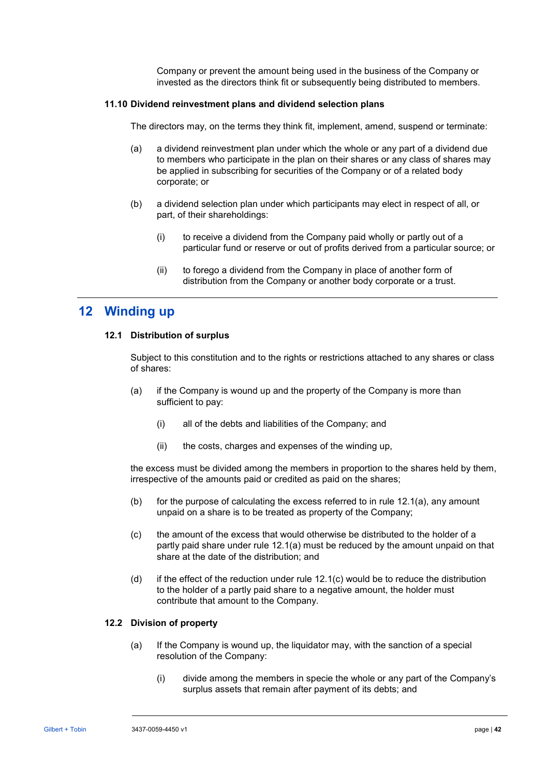Company or prevent the amount being used in the business of the Company or invested as the directors think fit or subsequently being distributed to members.

#### **11.10 Dividend reinvestment plans and dividend selection plans**

The directors may, on the terms they think fit, implement, amend, suspend or terminate:

- (a) a dividend reinvestment plan under which the whole or any part of a dividend due to members who participate in the plan on their shares or any class of shares may be applied in subscribing for securities of the Company or of a related body corporate; or
- (b) a dividend selection plan under which participants may elect in respect of all, or part, of their shareholdings:
	- (i) to receive a dividend from the Company paid wholly or partly out of a particular fund or reserve or out of profits derived from a particular source; or
	- (ii) to forego a dividend from the Company in place of another form of distribution from the Company or another body corporate or a trust.

# **12 Winding up**

#### **12.1 Distribution of surplus**

Subject to this constitution and to the rights or restrictions attached to any shares or class of shares:

- <span id="page-46-0"></span>(a) if the Company is wound up and the property of the Company is more than sufficient to pay:
	- (i) all of the debts and liabilities of the Company; and
	- (ii) the costs, charges and expenses of the winding up,

the excess must be divided among the members in proportion to the shares held by them, irrespective of the amounts paid or credited as paid on the shares;

- (b) for the purpose of calculating the excess referred to in rule  $12.1(a)$ , any amount unpaid on a share is to be treated as property of the Company;
- <span id="page-46-1"></span>(c) the amount of the excess that would otherwise be distributed to the holder of a partly paid share under rule [12.1\(a\)](#page-46-0) must be reduced by the amount unpaid on that share at the date of the distribution; and
- (d) if the effect of the reduction under rule [12.1\(c\)](#page-46-1) would be to reduce the distribution to the holder of a partly paid share to a negative amount, the holder must contribute that amount to the Company.

# <span id="page-46-3"></span><span id="page-46-2"></span>**12.2 Division of property**

- (a) If the Company is wound up, the liquidator may, with the sanction of a special resolution of the Company:
	- (i) divide among the members in specie the whole or any part of the Company's surplus assets that remain after payment of its debts; and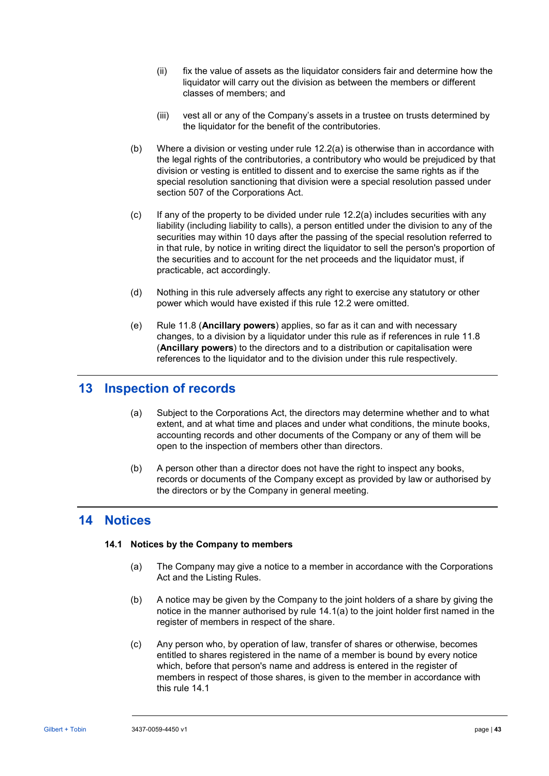- (ii) fix the value of assets as the liquidator considers fair and determine how the liquidator will carry out the division as between the members or different classes of members; and
- (iii) vest all or any of the Company's assets in a trustee on trusts determined by the liquidator for the benefit of the contributories.
- (b) Where a division or vesting under rule [12.2\(a\)](#page-46-2) is otherwise than in accordance with the legal rights of the contributories, a contributory who would be prejudiced by that division or vesting is entitled to dissent and to exercise the same rights as if the special resolution sanctioning that division were a special resolution passed under section 507 of the Corporations Act.
- (c) If any of the property to be divided under rule [12.2\(a\)](#page-46-2) includes securities with any liability (including liability to calls), a person entitled under the division to any of the securities may within 10 days after the passing of the special resolution referred to in that rule, by notice in writing direct the liquidator to sell the person's proportion of the securities and to account for the net proceeds and the liquidator must, if practicable, act accordingly.
- (d) Nothing in this rule adversely affects any right to exercise any statutory or other power which would have existed if this rule [12.2](#page-46-3) were omitted.
- (e) Rule [11.8](#page-44-4) (**[Ancillary powers](#page-44-4)**) applies, so far as it can and with necessary changes, to a division by a liquidator under this rule as if references in rule [11.8](#page-44-4) (**[Ancillary powers](#page-44-4)**) to the directors and to a distribution or capitalisation were references to the liquidator and to the division under this rule respectively.

# **13 Inspection of records**

- (a) Subject to the Corporations Act, the directors may determine whether and to what extent, and at what time and places and under what conditions, the minute books, accounting records and other documents of the Company or any of them will be open to the inspection of members other than directors.
- (b) A person other than a director does not have the right to inspect any books, records or documents of the Company except as provided by law or authorised by the directors or by the Company in general meeting.

# <span id="page-47-1"></span>**14 Notices**

# <span id="page-47-0"></span>**14.1 Notices by the Company to members**

- (a) The Company may give a notice to a member in accordance with the Corporations Act and the Listing Rules.
- (b) A notice may be given by the Company to the joint holders of a share by giving the notice in the manner authorised by rule [14.1\(a\)](#page-47-0) to the joint holder first named in the register of members in respect of the share.
- (c) Any person who, by operation of law, transfer of shares or otherwise, becomes entitled to shares registered in the name of a member is bound by every notice which, before that person's name and address is entered in the register of members in respect of those shares, is given to the member in accordance with this rule [14.1](#page-47-1)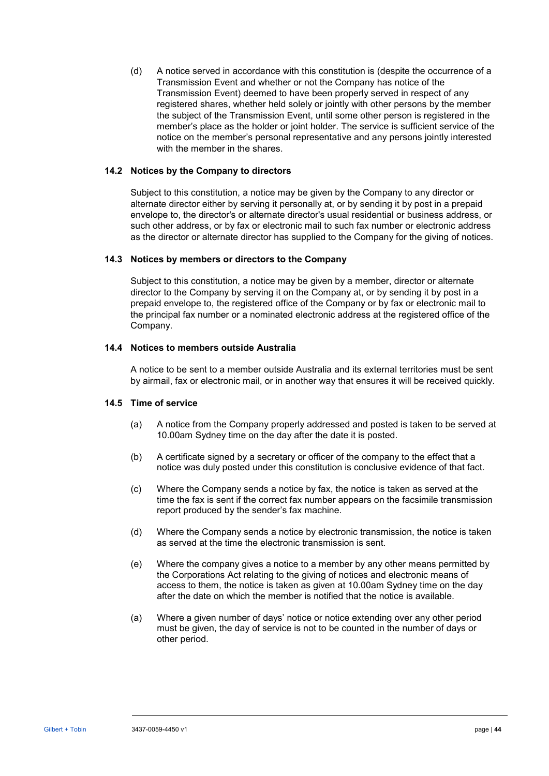(d) A notice served in accordance with this constitution is (despite the occurrence of a Transmission Event and whether or not the Company has notice of the Transmission Event) deemed to have been properly served in respect of any registered shares, whether held solely or jointly with other persons by the member the subject of the Transmission Event, until some other person is registered in the member's place as the holder or joint holder. The service is sufficient service of the notice on the member's personal representative and any persons jointly interested with the member in the shares.

#### **14.2 Notices by the Company to directors**

Subject to this constitution, a notice may be given by the Company to any director or alternate director either by serving it personally at, or by sending it by post in a prepaid envelope to, the director's or alternate director's usual residential or business address, or such other address, or by fax or electronic mail to such fax number or electronic address as the director or alternate director has supplied to the Company for the giving of notices.

#### **14.3 Notices by members or directors to the Company**

Subject to this constitution, a notice may be given by a member, director or alternate director to the Company by serving it on the Company at, or by sending it by post in a prepaid envelope to, the registered office of the Company or by fax or electronic mail to the principal fax number or a nominated electronic address at the registered office of the Company.

#### **14.4 Notices to members outside Australia**

A notice to be sent to a member outside Australia and its external territories must be sent by airmail, fax or electronic mail, or in another way that ensures it will be received quickly.

#### **14.5 Time of service**

- (a) A notice from the Company properly addressed and posted is taken to be served at 10.00am Sydney time on the day after the date it is posted.
- (b) A certificate signed by a secretary or officer of the company to the effect that a notice was duly posted under this constitution is conclusive evidence of that fact.
- (c) Where the Company sends a notice by fax, the notice is taken as served at the time the fax is sent if the correct fax number appears on the facsimile transmission report produced by the sender's fax machine.
- (d) Where the Company sends a notice by electronic transmission, the notice is taken as served at the time the electronic transmission is sent.
- (e) Where the company gives a notice to a member by any other means permitted by the Corporations Act relating to the giving of notices and electronic means of access to them, the notice is taken as given at 10.00am Sydney time on the day after the date on which the member is notified that the notice is available.
- (a) Where a given number of days' notice or notice extending over any other period must be given, the day of service is not to be counted in the number of days or other period.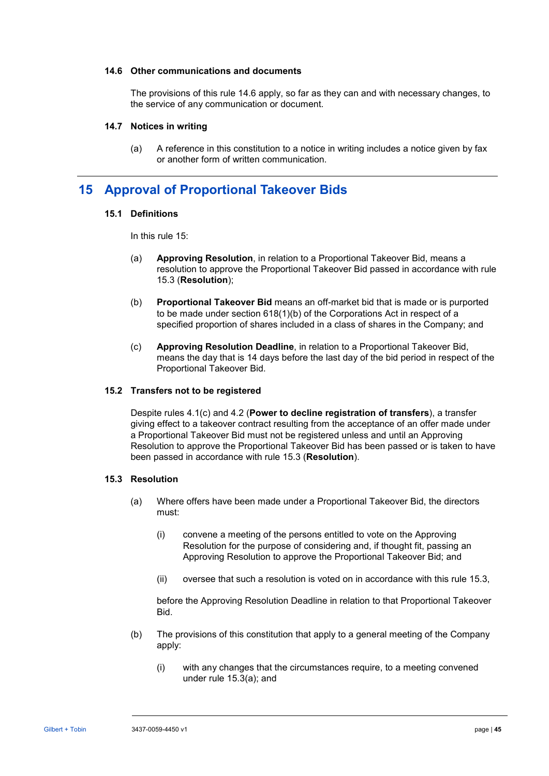#### <span id="page-49-0"></span>**14.6 Other communications and documents**

The provisions of this rule [14.6](#page-49-0) apply, so far as they can and with necessary changes, to the service of any communication or document.

#### **14.7 Notices in writing**

(a) A reference in this constitution to a notice in writing includes a notice given by fax or another form of written communication.

# <span id="page-49-4"></span><span id="page-49-1"></span>**15 Approval of Proportional Takeover Bids**

### **15.1 Definitions**

In this rule [15:](#page-49-1)

- (a) **Approving Resolution**, in relation to a Proportional Takeover Bid, means a resolution to approve the Proportional Takeover Bid passed in accordance with rule [15.3](#page-49-2) (**Resolution**);
- (b) **Proportional Takeover Bid** means an off-market bid that is made or is purported to be made under section 618(1)(b) of the Corporations Act in respect of a specified proportion of shares included in a class of shares in the Company; and
- (c) **Approving Resolution Deadline**, in relation to a Proportional Takeover Bid, means the day that is 14 days before the last day of the bid period in respect of the Proportional Takeover Bid.

### <span id="page-49-5"></span>**15.2 Transfers not to be registered**

Despite rules [4.1\(c\)](#page-15-4) and [4.2](#page-16-0) (**[Power to decline registration of transfers](#page-16-0)**), a transfer giving effect to a takeover contract resulting from the acceptance of an offer made under a Proportional Takeover Bid must not be registered unless and until an Approving Resolution to approve the Proportional Takeover Bid has been passed or is taken to have been passed in accordance with rule [15.3](#page-49-2) (**[Resolution](#page-49-2)**).

# <span id="page-49-3"></span><span id="page-49-2"></span>**15.3 Resolution**

- (a) Where offers have been made under a Proportional Takeover Bid, the directors must:
	- (i) convene a meeting of the persons entitled to vote on the Approving Resolution for the purpose of considering and, if thought fit, passing an Approving Resolution to approve the Proportional Takeover Bid; and
	- (ii) oversee that such a resolution is voted on in accordance with this rule [15.3,](#page-49-2)

before the Approving Resolution Deadline in relation to that Proportional Takeover **Bid.** 

- (b) The provisions of this constitution that apply to a general meeting of the Company apply:
	- (i) with any changes that the circumstances require, to a meeting convened under rule [15.3\(a\);](#page-49-3) and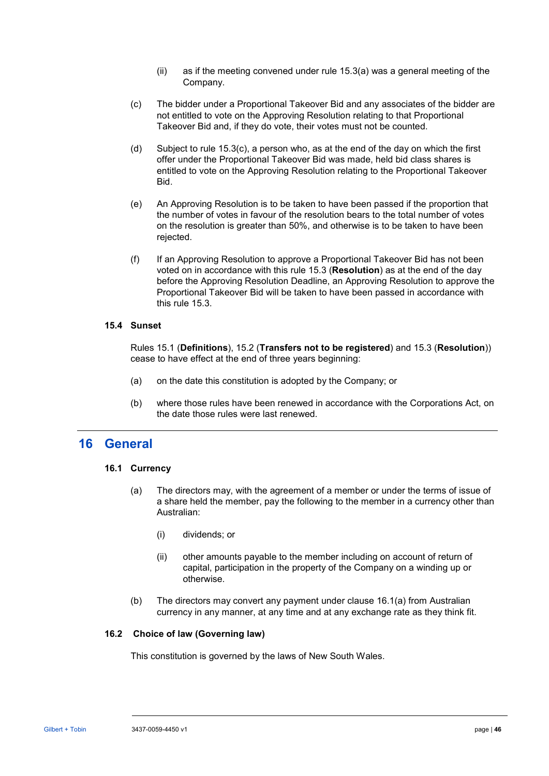- (ii) as if the meeting convened under rule [15.3\(a\)](#page-49-3) was a general meeting of the Company.
- <span id="page-50-0"></span>(c) The bidder under a Proportional Takeover Bid and any associates of the bidder are not entitled to vote on the Approving Resolution relating to that Proportional Takeover Bid and, if they do vote, their votes must not be counted.
- (d) Subject to rule [15.3\(c\),](#page-50-0) a person who, as at the end of the day on which the first offer under the Proportional Takeover Bid was made, held bid class shares is entitled to vote on the Approving Resolution relating to the Proportional Takeover Bid.
- (e) An Approving Resolution is to be taken to have been passed if the proportion that the number of votes in favour of the resolution bears to the total number of votes on the resolution is greater than 50%, and otherwise is to be taken to have been rejected.
- (f) If an Approving Resolution to approve a Proportional Takeover Bid has not been voted on in accordance with this rule [15.3](#page-49-2) (**[Resolution](#page-49-2)**) as at the end of the day before the Approving Resolution Deadline, an Approving Resolution to approve the Proportional Takeover Bid will be taken to have been passed in accordance with this rule [15.3.](#page-49-2)

#### **15.4 Sunset**

Rules [15.1](#page-49-4) (**[Definitions](#page-49-4)**), [15.2](#page-49-5) (**[Transfers not to be registered](#page-49-5)**) and [15.3](#page-49-2) (**[Resolution](#page-49-2)**)) cease to have effect at the end of three years beginning:

- (a) on the date this constitution is adopted by the Company; or
- (b) where those rules have been renewed in accordance with the Corporations Act, on the date those rules were last renewed.

# **16 General**

# <span id="page-50-1"></span>**16.1 Currency**

- (a) The directors may, with the agreement of a member or under the terms of issue of a share held the member, pay the following to the member in a currency other than Australian:
	- (i) dividends; or
	- (ii) other amounts payable to the member including on account of return of capital, participation in the property of the Company on a winding up or otherwise.
- (b) The directors may convert any payment under clause [16.1\(a\)](#page-50-1) from Australian currency in any manner, at any time and at any exchange rate as they think fit.

# **16.2 Choice of law (Governing law)**

This constitution is governed by the laws of New South Wales.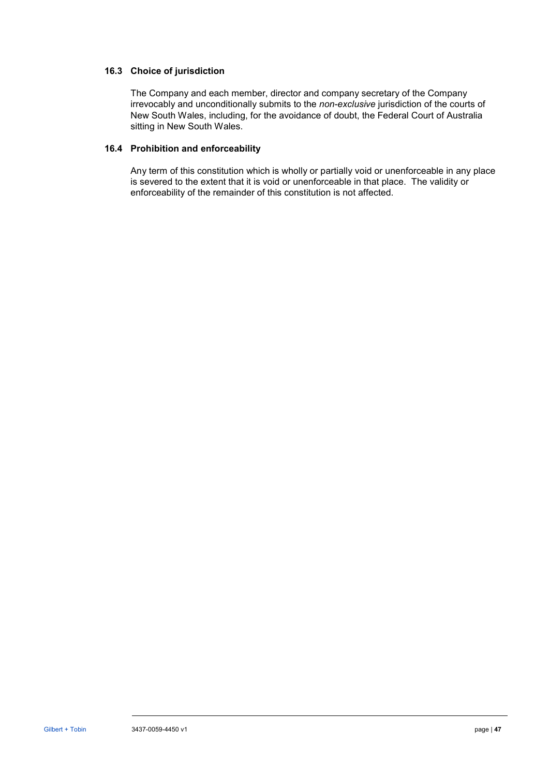# **16.3 Choice of jurisdiction**

The Company and each member, director and company secretary of the Company irrevocably and unconditionally submits to the *non-exclusive* jurisdiction of the courts of New South Wales, including, for the avoidance of doubt, the Federal Court of Australia sitting in New South Wales.

# **16.4 Prohibition and enforceability**

Any term of this constitution which is wholly or partially void or unenforceable in any place is severed to the extent that it is void or unenforceable in that place. The validity or enforceability of the remainder of this constitution is not affected.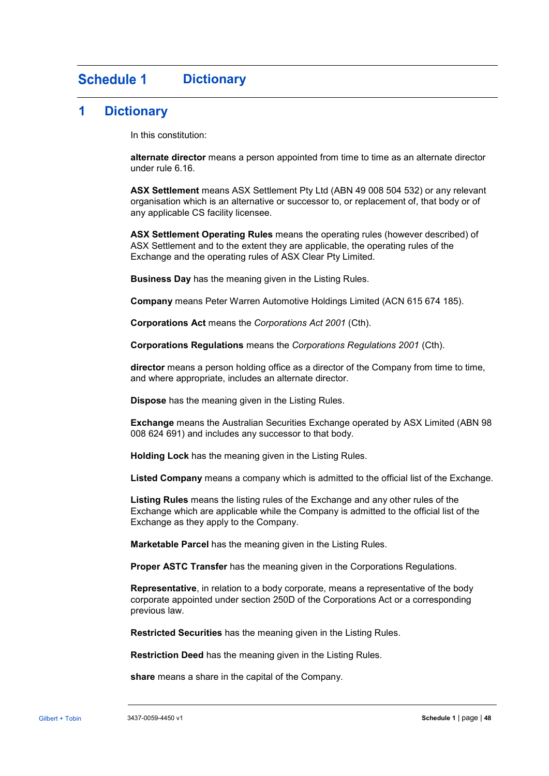#### <span id="page-52-0"></span>**Schedule 1 Dictionary**

# **1 Dictionary**

In this constitution:

**alternate director** means a person appointed from time to time as an alternate director under rule [6.16.](#page-36-0)

**ASX Settlement** means ASX Settlement Pty Ltd (ABN 49 008 504 532) or any relevant organisation which is an alternative or successor to, or replacement of, that body or of any applicable CS facility licensee.

**ASX Settlement Operating Rules** means the operating rules (however described) of ASX Settlement and to the extent they are applicable, the operating rules of the Exchange and the operating rules of ASX Clear Pty Limited.

**Business Day** has the meaning given in the Listing Rules.

**Company** means Peter Warren Automotive Holdings Limited (ACN 615 674 185).

**Corporations Act** means the *Corporations Act 2001* (Cth).

**Corporations Regulations** means the *Corporations Regulations 2001* (Cth).

**director** means a person holding office as a director of the Company from time to time, and where appropriate, includes an alternate director.

**Dispose** has the meaning given in the Listing Rules.

**Exchange** means the Australian Securities Exchange operated by ASX Limited (ABN 98 008 624 691) and includes any successor to that body.

**Holding Lock** has the meaning given in the Listing Rules.

**Listed Company** means a company which is admitted to the official list of the Exchange.

**Listing Rules** means the listing rules of the Exchange and any other rules of the Exchange which are applicable while the Company is admitted to the official list of the Exchange as they apply to the Company.

**Marketable Parcel** has the meaning given in the Listing Rules.

**Proper ASTC Transfer** has the meaning given in the Corporations Regulations.

**Representative**, in relation to a body corporate, means a representative of the body corporate appointed under section 250D of the Corporations Act or a corresponding previous law.

**Restricted Securities** has the meaning given in the Listing Rules.

**Restriction Deed** has the meaning given in the Listing Rules.

**share** means a share in the capital of the Company.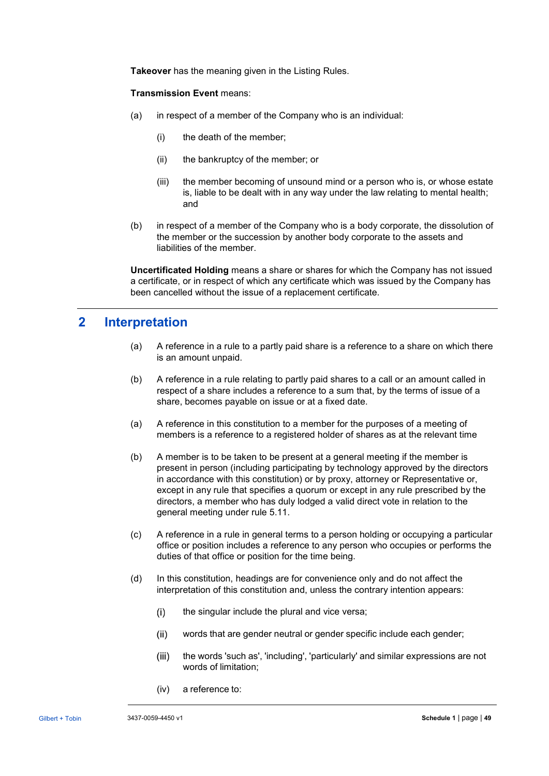**Takeover** has the meaning given in the Listing Rules.

#### **Transmission Event** means:

- (a) in respect of a member of the Company who is an individual:
	- (i) the death of the member;
	- (ii) the bankruptcy of the member; or
	- (iii) the member becoming of unsound mind or a person who is, or whose estate is, liable to be dealt with in any way under the law relating to mental health; and
- (b) in respect of a member of the Company who is a body corporate, the dissolution of the member or the succession by another body corporate to the assets and liabilities of the member.

**Uncertificated Holding** means a share or shares for which the Company has not issued a certificate, or in respect of which any certificate which was issued by the Company has been cancelled without the issue of a replacement certificate.

# **2 Interpretation**

- (a) A reference in a rule to a partly paid share is a reference to a share on which there is an amount unpaid.
- (b) A reference in a rule relating to partly paid shares to a call or an amount called in respect of a share includes a reference to a sum that, by the terms of issue of a share, becomes payable on issue or at a fixed date.
- (a) A reference in this constitution to a member for the purposes of a meeting of members is a reference to a registered holder of shares as at the relevant time
- (b) A member is to be taken to be present at a general meeting if the member is present in person (including participating by technology approved by the directors in accordance with this constitution) or by proxy, attorney or Representative or, except in any rule that specifies a quorum or except in any rule prescribed by the directors, a member who has duly lodged a valid direct vote in relation to the general meeting under rule [5.11.](#page-24-1)
- (c) A reference in a rule in general terms to a person holding or occupying a particular office or position includes a reference to any person who occupies or performs the duties of that office or position for the time being.
- (d) In this constitution, headings are for convenience only and do not affect the interpretation of this constitution and, unless the contrary intention appears:
	- $(i)$ the singular include the plural and vice versa;
	- $(ii)$ words that are gender neutral or gender specific include each gender;
	- $(iii)$ the words 'such as', 'including', 'particularly' and similar expressions are not words of limitation;
	- (iv) a reference to: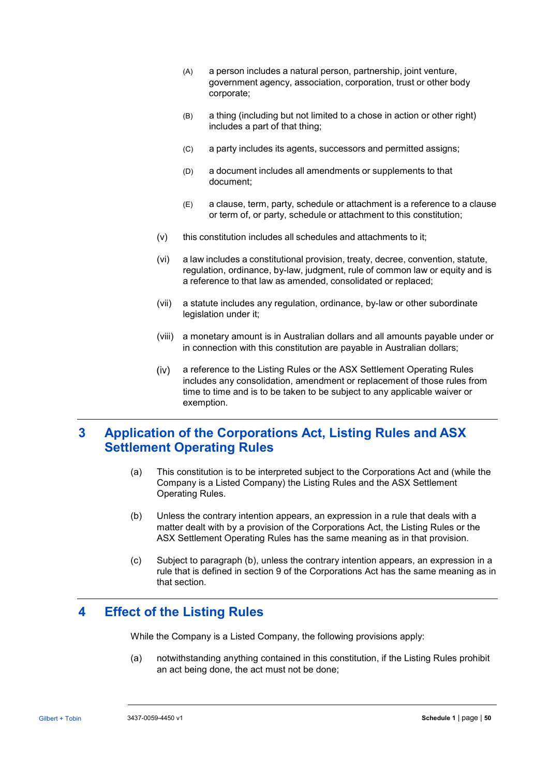- (A) a person includes a natural person, partnership, joint venture, government agency, association, corporation, trust or other body corporate;
- (B) a thing (including but not limited to a chose in action or other right) includes a part of that thing;
- (C) a party includes its agents, successors and permitted assigns;
- (D) a document includes all amendments or supplements to that document;
- (E) a clause, term, party, schedule or attachment is a reference to a clause or term of, or party, schedule or attachment to this constitution;
- (v) this constitution includes all schedules and attachments to it;
- (vi) a law includes a constitutional provision, treaty, decree, convention, statute, regulation, ordinance, by-law, judgment, rule of common law or equity and is a reference to that law as amended, consolidated or replaced;
- (vii) a statute includes any regulation, ordinance, by-law or other subordinate legislation under it;
- (viii) a monetary amount is in Australian dollars and all amounts payable under or in connection with this constitution are payable in Australian dollars;
- $(iv)$ a reference to the Listing Rules or the ASX Settlement Operating Rules includes any consolidation, amendment or replacement of those rules from time to time and is to be taken to be subject to any applicable waiver or exemption.

# **3 Application of the Corporations Act, Listing Rules and ASX Settlement Operating Rules**

- (a) This constitution is to be interpreted subject to the Corporations Act and (while the Company is a Listed Company) the Listing Rules and the ASX Settlement Operating Rules.
- <span id="page-54-0"></span>(b) Unless the contrary intention appears, an expression in a rule that deals with a matter dealt with by a provision of the Corporations Act, the Listing Rules or the ASX Settlement Operating Rules has the same meaning as in that provision.
- (c) Subject to paragraph [\(b\),](#page-54-0) unless the contrary intention appears, an expression in a rule that is defined in section 9 of the Corporations Act has the same meaning as in that section.

# **4 Effect of the Listing Rules**

While the Company is a Listed Company, the following provisions apply:

(a) notwithstanding anything contained in this constitution, if the Listing Rules prohibit an act being done, the act must not be done;

. . . . . . . . . . . . . . . . . . . .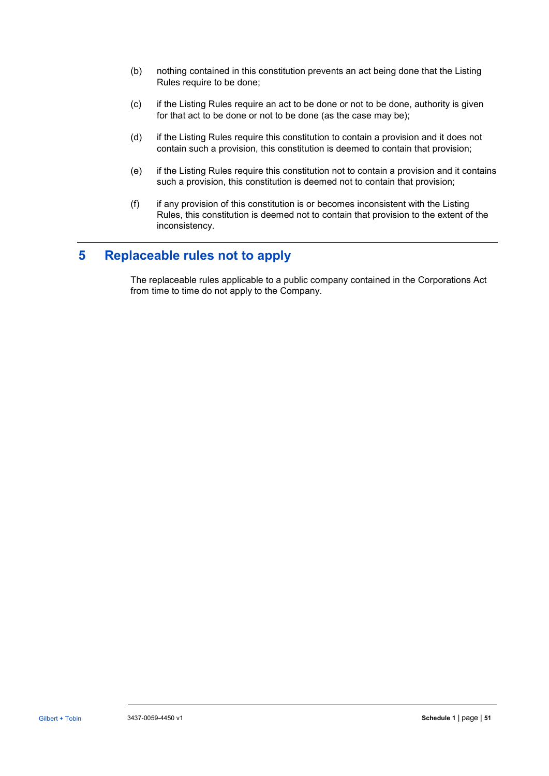- (b) nothing contained in this constitution prevents an act being done that the Listing Rules require to be done;
- (c) if the Listing Rules require an act to be done or not to be done, authority is given for that act to be done or not to be done (as the case may be);
- (d) if the Listing Rules require this constitution to contain a provision and it does not contain such a provision, this constitution is deemed to contain that provision;
- (e) if the Listing Rules require this constitution not to contain a provision and it contains such a provision, this constitution is deemed not to contain that provision;
- (f) if any provision of this constitution is or becomes inconsistent with the Listing Rules, this constitution is deemed not to contain that provision to the extent of the inconsistency.

# **5 Replaceable rules not to apply**

The replaceable rules applicable to a public company contained in the Corporations Act from time to time do not apply to the Company.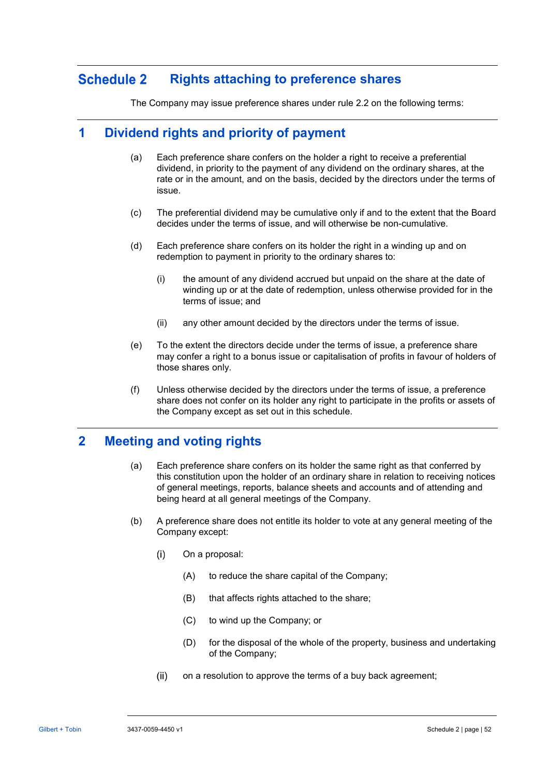#### **Schedule 2 Rights attaching to preference shares**

The Company may issue preference shares under rule [2.2](#page-5-1) on the following terms:

# **1 Dividend rights and priority of payment**

- (a) Each preference share confers on the holder a right to receive a preferential dividend, in priority to the payment of any dividend on the ordinary shares, at the rate or in the amount, and on the basis, decided by the directors under the terms of issue.
- (c) The preferential dividend may be cumulative only if and to the extent that the Board decides under the terms of issue, and will otherwise be non-cumulative.
- (d) Each preference share confers on its holder the right in a winding up and on redemption to payment in priority to the ordinary shares to:
	- (i) the amount of any dividend accrued but unpaid on the share at the date of winding up or at the date of redemption, unless otherwise provided for in the terms of issue; and
	- (ii) any other amount decided by the directors under the terms of issue.
- (e) To the extent the directors decide under the terms of issue, a preference share may confer a right to a bonus issue or capitalisation of profits in favour of holders of those shares only.
- (f) Unless otherwise decided by the directors under the terms of issue, a preference share does not confer on its holder any right to participate in the profits or assets of the Company except as set out in this schedule.

# **2 Meeting and voting rights**

- (a) Each preference share confers on its holder the same right as that conferred by this constitution upon the holder of an ordinary share in relation to receiving notices of general meetings, reports, balance sheets and accounts and of attending and being heard at all general meetings of the Company.
- (b) A preference share does not entitle its holder to vote at any general meeting of the Company except:
	- $(i)$ On a proposal:
		- (A) to reduce the share capital of the Company;
		- (B) that affects rights attached to the share;
		- (C) to wind up the Company; or
		- (D) for the disposal of the whole of the property, business and undertaking of the Company;
	- $(ii)$ on a resolution to approve the terms of a buy back agreement;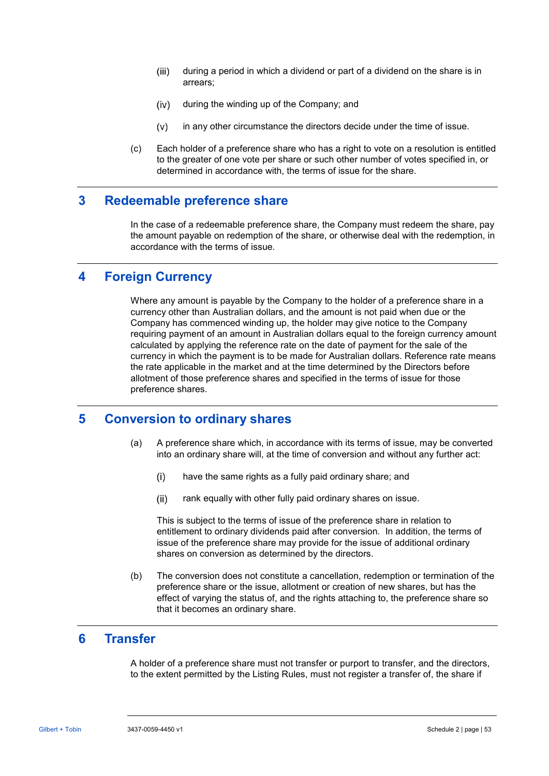- $(iii)$ during a period in which a dividend or part of a dividend on the share is in arrears;
- $(iv)$ during the winding up of the Company; and
- $(v)$ in any other circumstance the directors decide under the time of issue.
- (c) Each holder of a preference share who has a right to vote on a resolution is entitled to the greater of one vote per share or such other number of votes specified in, or determined in accordance with, the terms of issue for the share.

# **3 Redeemable preference share**

In the case of a redeemable preference share, the Company must redeem the share, pay the amount payable on redemption of the share, or otherwise deal with the redemption, in accordance with the terms of issue.

# **4 Foreign Currency**

Where any amount is payable by the Company to the holder of a preference share in a currency other than Australian dollars, and the amount is not paid when due or the Company has commenced winding up, the holder may give notice to the Company requiring payment of an amount in Australian dollars equal to the foreign currency amount calculated by applying the reference rate on the date of payment for the sale of the currency in which the payment is to be made for Australian dollars. Reference rate means the rate applicable in the market and at the time determined by the Directors before allotment of those preference shares and specified in the terms of issue for those preference shares.

# **5 Conversion to ordinary shares**

- (a) A preference share which, in accordance with its terms of issue, may be converted into an ordinary share will, at the time of conversion and without any further act:
	- $(i)$ have the same rights as a fully paid ordinary share; and
	- $(ii)$ rank equally with other fully paid ordinary shares on issue.

This is subject to the terms of issue of the preference share in relation to entitlement to ordinary dividends paid after conversion. In addition, the terms of issue of the preference share may provide for the issue of additional ordinary shares on conversion as determined by the directors.

(b) The conversion does not constitute a cancellation, redemption or termination of the preference share or the issue, allotment or creation of new shares, but has the effect of varying the status of, and the rights attaching to, the preference share so that it becomes an ordinary share.

# **6 Transfer**

A holder of a preference share must not transfer or purport to transfer, and the directors, to the extent permitted by the Listing Rules, must not register a transfer of, the share if